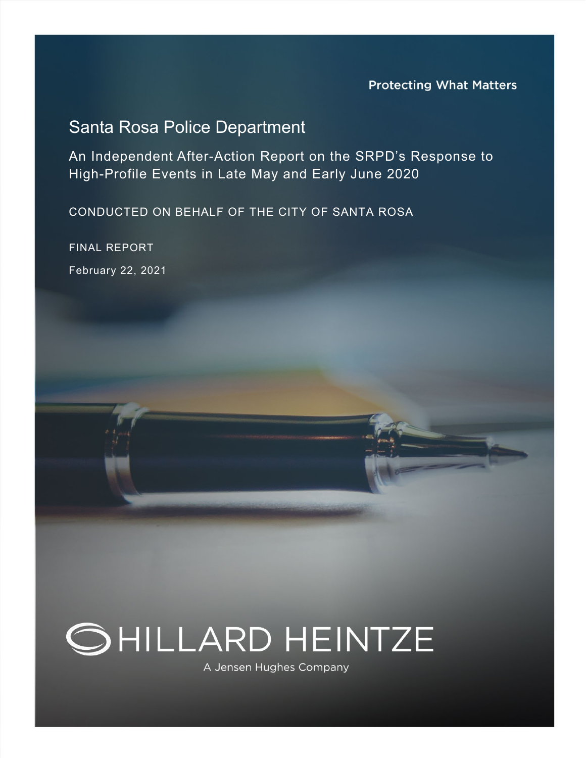# Santa Rosa Police Department

An Independent After-Action Report on the SRPD's Response to High-Profile Events in Late May and Early June 2020

CONDUCTED ON BEHALF OF THE CITY OF SANTA ROSA

FINAL REPORT February 22, 2021



A Jensen Hughes Company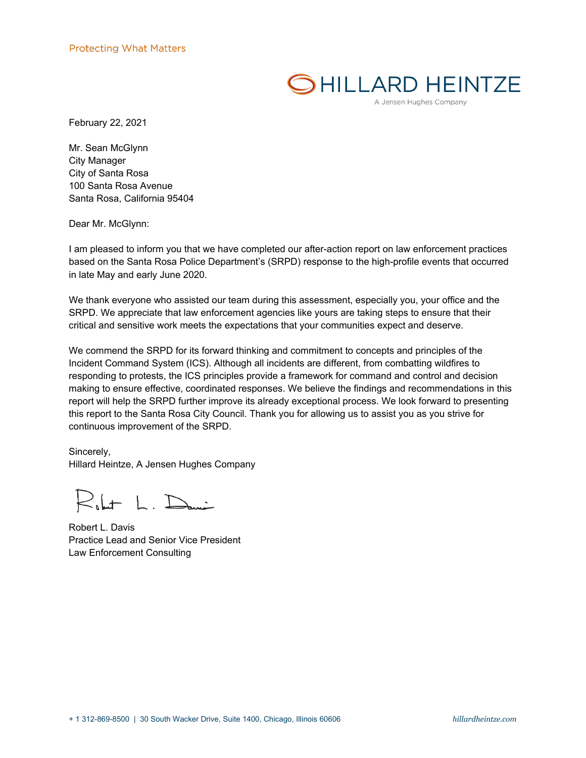# SHILLARD HEINTZE

A Jensen Hughes Company

February 22, 2021

Mr. Sean McGlynn City Manager City of Santa Rosa 100 Santa Rosa Avenue Santa Rosa, California 95404

Dear Mr. McGlynn:

I am pleased to inform you that we have completed our after-action report on law enforcement practices based on the Santa Rosa Police Department's (SRPD) response to the high-profile events that occurred in late May and early June 2020.

We thank everyone who assisted our team during this assessment, especially you, your office and the SRPD. We appreciate that law enforcement agencies like yours are taking steps to ensure that their critical and sensitive work meets the expectations that your communities expect and deserve.

We commend the SRPD for its forward thinking and commitment to concepts and principles of the Incident Command System (ICS). Although all incidents are different, from combatting wildfires to responding to protests, the ICS principles provide a framework for command and control and decision making to ensure effective, coordinated responses. We believe the findings and recommendations in this report will help the SRPD further improve its already exceptional process. We look forward to presenting this report to the Santa Rosa City Council. Thank you for allowing us to assist you as you strive for continuous improvement of the SRPD.

Sincerely, Hillard Heintze, A Jensen Hughes Company

 $R_{\text{b}}$ lut L. Dani

Robert L. Davis Practice Lead and Senior Vice President Law Enforcement Consulting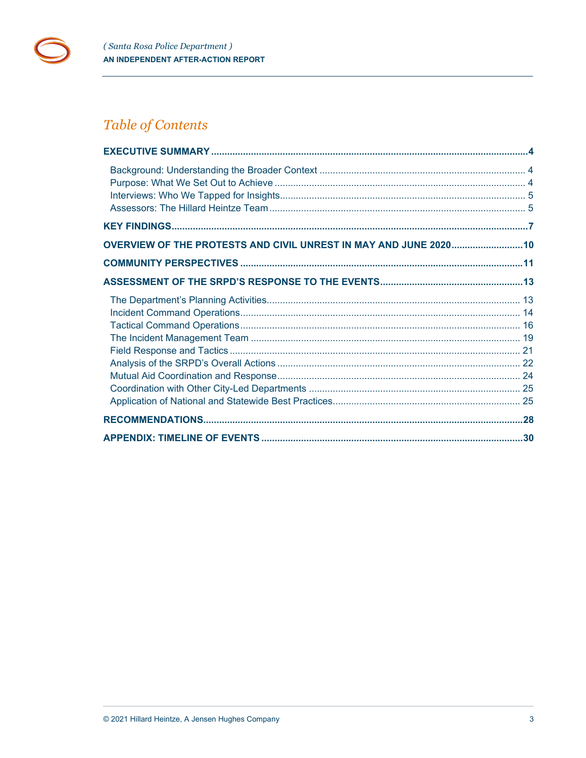

# Table of Contents

| OVERVIEW OF THE PROTESTS AND CIVIL UNREST IN MAY AND JUNE 2020 10 |  |
|-------------------------------------------------------------------|--|
|                                                                   |  |
|                                                                   |  |
|                                                                   |  |
|                                                                   |  |
|                                                                   |  |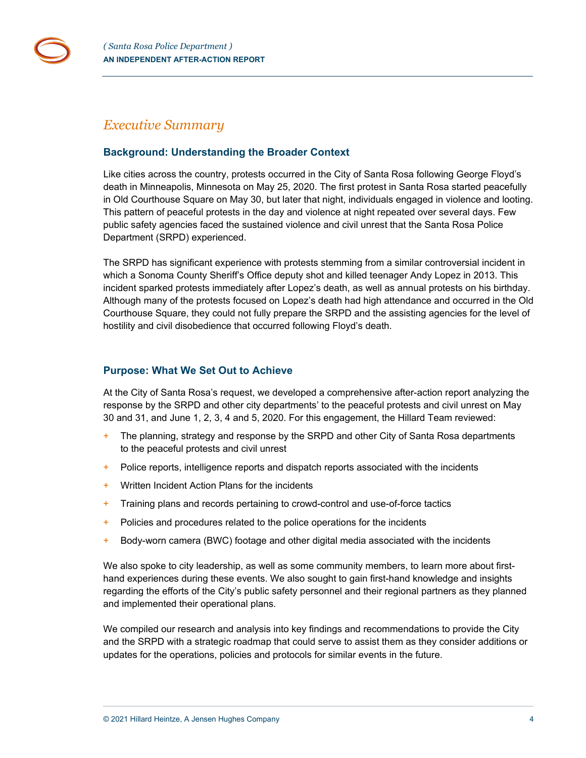

# <span id="page-3-0"></span>*Executive Summary*

# <span id="page-3-1"></span>**Background: Understanding the Broader Context**

Like cities across the country, protests occurred in the City of Santa Rosa following George Floyd's death in Minneapolis, Minnesota on May 25, 2020. The first protest in Santa Rosa started peacefully in Old Courthouse Square on May 30, but later that night, individuals engaged in violence and looting. This pattern of peaceful protests in the day and violence at night repeated over several days. Few public safety agencies faced the sustained violence and civil unrest that the Santa Rosa Police Department (SRPD) experienced.

The SRPD has significant experience with protests stemming from a similar controversial incident in which a Sonoma County Sheriff's Office deputy shot and killed teenager Andy Lopez in 2013. This incident sparked protests immediately after Lopez's death, as well as annual protests on his birthday. Although many of the protests focused on Lopez's death had high attendance and occurred in the Old Courthouse Square, they could not fully prepare the SRPD and the assisting agencies for the level of hostility and civil disobedience that occurred following Floyd's death.

# <span id="page-3-2"></span>**Purpose: What We Set Out to Achieve**

At the City of Santa Rosa's request, we developed a comprehensive after-action report analyzing the response by the SRPD and other city departments' to the peaceful protests and civil unrest on May 30 and 31, and June 1, 2, 3, 4 and 5, 2020. For this engagement, the Hillard Team reviewed:

- + The planning, strategy and response by the SRPD and other City of Santa Rosa departments to the peaceful protests and civil unrest
- + Police reports, intelligence reports and dispatch reports associated with the incidents
- + Written Incident Action Plans for the incidents
- + Training plans and records pertaining to crowd-control and use-of-force tactics
- + Policies and procedures related to the police operations for the incidents
- $+$  Body-worn camera (BWC) footage and other digital media associated with the incidents

We also spoke to city leadership, as well as some community members, to learn more about firsthand experiences during these events. We also sought to gain first-hand knowledge and insights regarding the efforts of the City's public safety personnel and their regional partners as they planned and implemented their operational plans.

We compiled our research and analysis into key findings and recommendations to provide the City and the SRPD with a strategic roadmap that could serve to assist them as they consider additions or updates for the operations, policies and protocols for similar events in the future.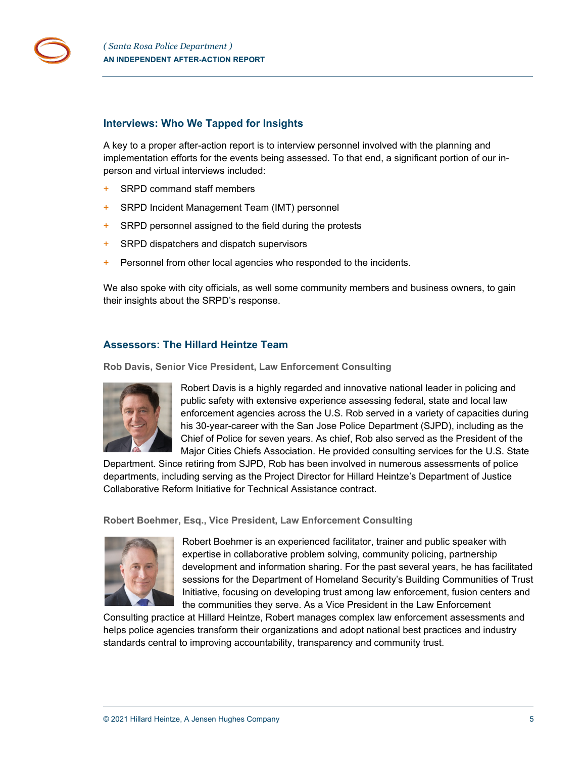

#### <span id="page-4-0"></span>**Interviews: Who We Tapped for Insights**

A key to a proper after-action report is to interview personnel involved with the planning and implementation efforts for the events being assessed. To that end, a significant portion of our inperson and virtual interviews included:

- + SRPD command staff members
- + SRPD Incident Management Team (IMT) personnel
- + SRPD personnel assigned to the field during the protests
- + SRPD dispatchers and dispatch supervisors
- + Personnel from other local agencies who responded to the incidents.

We also spoke with city officials, as well some community members and business owners, to gain their insights about the SRPD's response.

# <span id="page-4-1"></span>**Assessors: The Hillard Heintze Team**

**Rob Davis, Senior Vice President, Law Enforcement Consulting**



Robert Davis is a highly regarded and innovative national leader in policing and public safety with extensive experience assessing federal, state and local law enforcement agencies across the U.S. Rob served in a variety of capacities during his 30-year-career with the San Jose Police Department (SJPD), including as the Chief of Police for seven years. As chief, Rob also served as the President of the Major Cities Chiefs Association. He provided consulting services for the U.S. State

Department. Since retiring from SJPD, Rob has been involved in numerous assessments of police departments, including serving as the Project Director for Hillard Heintze's Department of Justice Collaborative Reform Initiative for Technical Assistance contract.

**Robert Boehmer, Esq., Vice President, Law Enforcement Consulting**



Robert Boehmer is an experienced facilitator, trainer and public speaker with expertise in collaborative problem solving, community policing, partnership development and information sharing. For the past several years, he has facilitated sessions for the Department of Homeland Security's Building Communities of Trust Initiative, focusing on developing trust among law enforcement, fusion centers and the communities they serve. As a Vice President in the Law Enforcement

Consulting practice at Hillard Heintze, Robert manages complex law enforcement assessments and helps police agencies transform their organizations and adopt national best practices and industry standards central to improving accountability, transparency and community trust.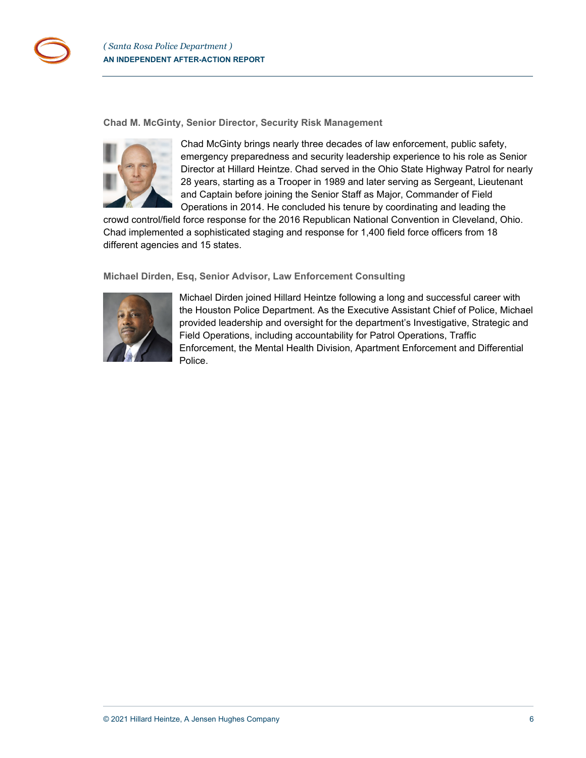

**Chad M. McGinty, Senior Director, Security Risk Management**



Chad McGinty brings nearly three decades of law enforcement, public safety, emergency preparedness and security leadership experience to his role as Senior Director at Hillard Heintze. Chad served in the Ohio State Highway Patrol for nearly 28 years, starting as a Trooper in 1989 and later serving as Sergeant, Lieutenant and Captain before joining the Senior Staff as Major, Commander of Field Operations in 2014. He concluded his tenure by coordinating and leading the

crowd control/field force response for the 2016 Republican National Convention in Cleveland, Ohio. Chad implemented a sophisticated staging and response for 1,400 field force officers from 18 different agencies and 15 states.

# **Michael Dirden, Esq, Senior Advisor, Law Enforcement Consulting**



Michael Dirden joined Hillard Heintze following a long and successful career with the Houston Police Department. As the Executive Assistant Chief of Police, Michael provided leadership and oversight for the department's Investigative, Strategic and Field Operations, including accountability for Patrol Operations, Traffic Enforcement, the Mental Health Division, Apartment Enforcement and Differential Police.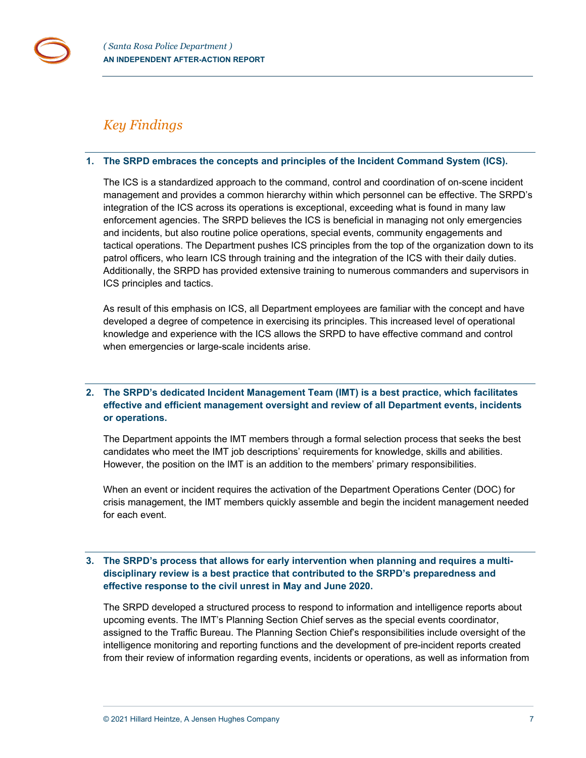# <span id="page-6-0"></span>*Key Findings*

## **1. The SRPD embraces the concepts and principles of the Incident Command System (ICS).**

The ICS is a standardized approach to the command, control and coordination of on-scene incident management and provides a common hierarchy within which personnel can be effective. The SRPD's integration of the ICS across its operations is exceptional, exceeding what is found in many law enforcement agencies. The SRPD believes the ICS is beneficial in managing not only emergencies and incidents, but also routine police operations, special events, community engagements and tactical operations. The Department pushes ICS principles from the top of the organization down to its patrol officers, who learn ICS through training and the integration of the ICS with their daily duties. Additionally, the SRPD has provided extensive training to numerous commanders and supervisors in ICS principles and tactics.

As result of this emphasis on ICS, all Department employees are familiar with the concept and have developed a degree of competence in exercising its principles. This increased level of operational knowledge and experience with the ICS allows the SRPD to have effective command and control when emergencies or large-scale incidents arise.

# **2. The SRPD's dedicated Incident Management Team (IMT) is a best practice, which facilitates effective and efficient management oversight and review of all Department events, incidents or operations.**

The Department appoints the IMT members through a formal selection process that seeks the best candidates who meet the IMT job descriptions' requirements for knowledge, skills and abilities. However, the position on the IMT is an addition to the members' primary responsibilities.

When an event or incident requires the activation of the Department Operations Center (DOC) for crisis management, the IMT members quickly assemble and begin the incident management needed for each event.

# **3. The SRPD's process that allows for early intervention when planning and requires a multidisciplinary review is a best practice that contributed to the SRPD's preparedness and effective response to the civil unrest in May and June 2020.**

The SRPD developed a structured process to respond to information and intelligence reports about upcoming events. The IMT's Planning Section Chief serves as the special events coordinator, assigned to the Traffic Bureau. The Planning Section Chief's responsibilities include oversight of the intelligence monitoring and reporting functions and the development of pre-incident reports created from their review of information regarding events, incidents or operations, as well as information from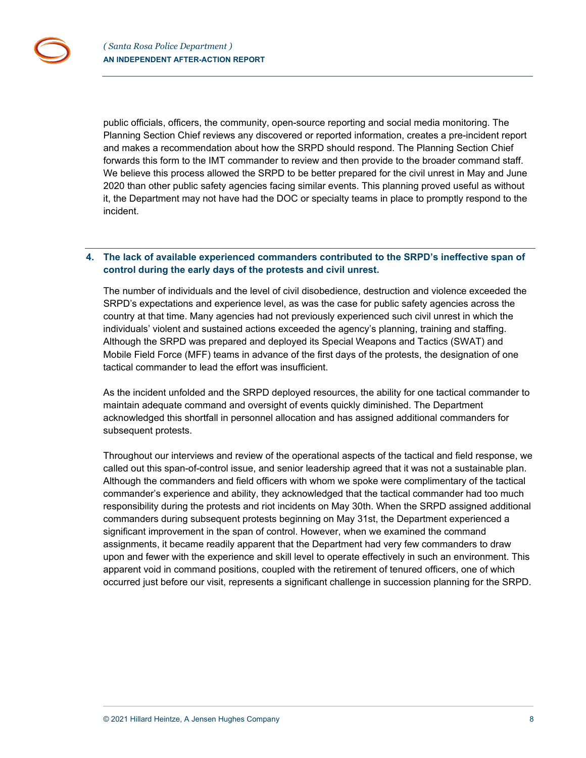public officials, officers, the community, open-source reporting and social media monitoring. The Planning Section Chief reviews any discovered or reported information, creates a pre-incident report and makes a recommendation about how the SRPD should respond. The Planning Section Chief forwards this form to the IMT commander to review and then provide to the broader command staff. We believe this process allowed the SRPD to be better prepared for the civil unrest in May and June 2020 than other public safety agencies facing similar events. This planning proved useful as without it, the Department may not have had the DOC or specialty teams in place to promptly respond to the incident.

### **4. The lack of available experienced commanders contributed to the SRPD's ineffective span of control during the early days of the protests and civil unrest.**

The number of individuals and the level of civil disobedience, destruction and violence exceeded the SRPD's expectations and experience level, as was the case for public safety agencies across the country at that time. Many agencies had not previously experienced such civil unrest in which the individuals' violent and sustained actions exceeded the agency's planning, training and staffing. Although the SRPD was prepared and deployed its Special Weapons and Tactics (SWAT) and Mobile Field Force (MFF) teams in advance of the first days of the protests, the designation of one tactical commander to lead the effort was insufficient.

As the incident unfolded and the SRPD deployed resources, the ability for one tactical commander to maintain adequate command and oversight of events quickly diminished. The Department acknowledged this shortfall in personnel allocation and has assigned additional commanders for subsequent protests.

Throughout our interviews and review of the operational aspects of the tactical and field response, we called out this span-of-control issue, and senior leadership agreed that it was not a sustainable plan. Although the commanders and field officers with whom we spoke were complimentary of the tactical commander's experience and ability, they acknowledged that the tactical commander had too much responsibility during the protests and riot incidents on May 30th. When the SRPD assigned additional commanders during subsequent protests beginning on May 31st, the Department experienced a significant improvement in the span of control. However, when we examined the command assignments, it became readily apparent that the Department had very few commanders to draw upon and fewer with the experience and skill level to operate effectively in such an environment. This apparent void in command positions, coupled with the retirement of tenured officers, one of which occurred just before our visit, represents a significant challenge in succession planning for the SRPD.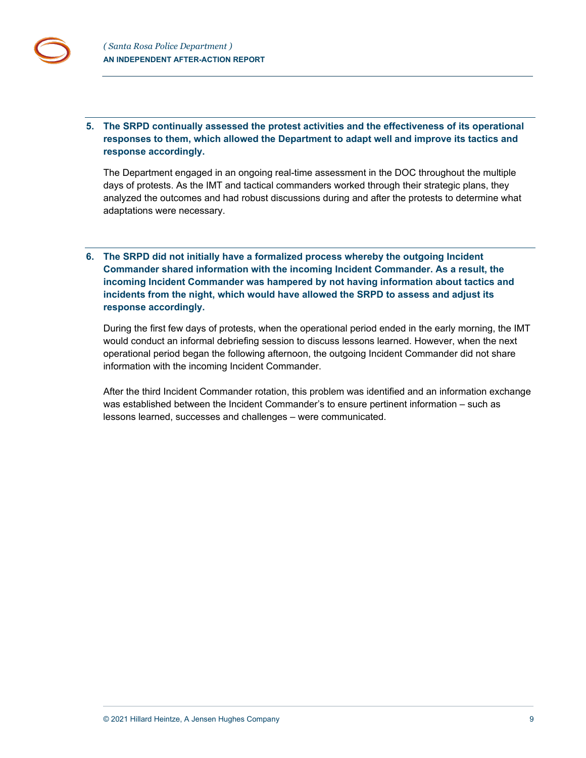**5. The SRPD continually assessed the protest activities and the effectiveness of its operational responses to them, which allowed the Department to adapt well and improve its tactics and response accordingly.**

The Department engaged in an ongoing real-time assessment in the DOC throughout the multiple days of protests. As the IMT and tactical commanders worked through their strategic plans, they analyzed the outcomes and had robust discussions during and after the protests to determine what adaptations were necessary.

# **6. The SRPD did not initially have a formalized process whereby the outgoing Incident Commander shared information with the incoming Incident Commander. As a result, the incoming Incident Commander was hampered by not having information about tactics and incidents from the night, which would have allowed the SRPD to assess and adjust its response accordingly.**

During the first few days of protests, when the operational period ended in the early morning, the IMT would conduct an informal debriefing session to discuss lessons learned. However, when the next operational period began the following afternoon, the outgoing Incident Commander did not share information with the incoming Incident Commander.

After the third Incident Commander rotation, this problem was identified and an information exchange was established between the Incident Commander's to ensure pertinent information – such as lessons learned, successes and challenges – were communicated.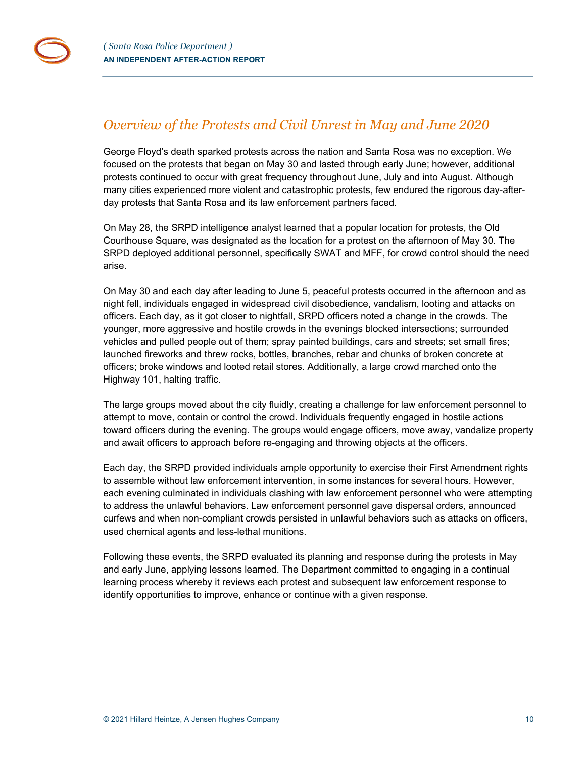# <span id="page-9-0"></span>*Overview of the Protests and Civil Unrest in May and June 2020*

George Floyd's death sparked protests across the nation and Santa Rosa was no exception. We focused on the protests that began on May 30 and lasted through early June; however, additional protests continued to occur with great frequency throughout June, July and into August. Although many cities experienced more violent and catastrophic protests, few endured the rigorous day-afterday protests that Santa Rosa and its law enforcement partners faced.

On May 28, the SRPD intelligence analyst learned that a popular location for protests, the Old Courthouse Square, was designated as the location for a protest on the afternoon of May 30. The SRPD deployed additional personnel, specifically SWAT and MFF, for crowd control should the need arise.

On May 30 and each day after leading to June 5, peaceful protests occurred in the afternoon and as night fell, individuals engaged in widespread civil disobedience, vandalism, looting and attacks on officers. Each day, as it got closer to nightfall, SRPD officers noted a change in the crowds. The younger, more aggressive and hostile crowds in the evenings blocked intersections; surrounded vehicles and pulled people out of them; spray painted buildings, cars and streets; set small fires; launched fireworks and threw rocks, bottles, branches, rebar and chunks of broken concrete at officers; broke windows and looted retail stores. Additionally, a large crowd marched onto the Highway 101, halting traffic.

The large groups moved about the city fluidly, creating a challenge for law enforcement personnel to attempt to move, contain or control the crowd. Individuals frequently engaged in hostile actions toward officers during the evening. The groups would engage officers, move away, vandalize property and await officers to approach before re-engaging and throwing objects at the officers.

Each day, the SRPD provided individuals ample opportunity to exercise their First Amendment rights to assemble without law enforcement intervention, in some instances for several hours. However, each evening culminated in individuals clashing with law enforcement personnel who were attempting to address the unlawful behaviors. Law enforcement personnel gave dispersal orders, announced curfews and when non-compliant crowds persisted in unlawful behaviors such as attacks on officers, used chemical agents and less-lethal munitions.

Following these events, the SRPD evaluated its planning and response during the protests in May and early June, applying lessons learned. The Department committed to engaging in a continual learning process whereby it reviews each protest and subsequent law enforcement response to identify opportunities to improve, enhance or continue with a given response.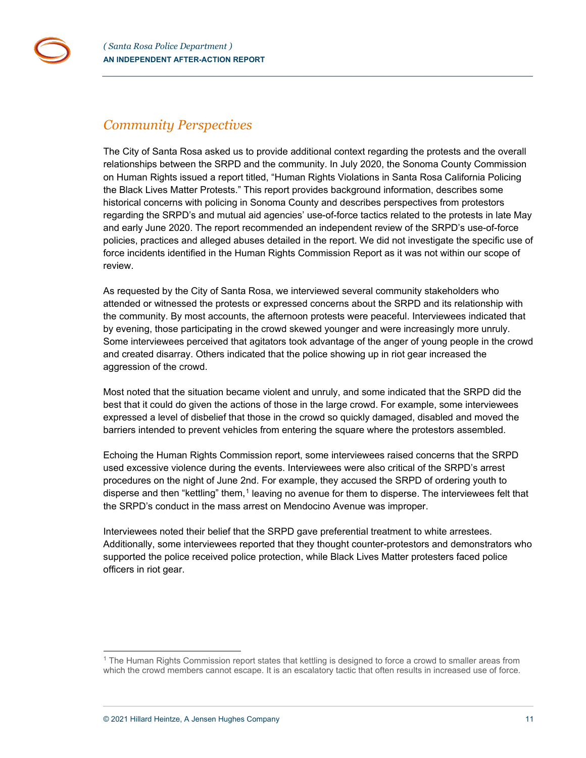# <span id="page-10-0"></span>*Community Perspectives*

The City of Santa Rosa asked us to provide additional context regarding the protests and the overall relationships between the SRPD and the community. In July 2020, the Sonoma County Commission on Human Rights issued a report titled, "Human Rights Violations in Santa Rosa California Policing the Black Lives Matter Protests." This report provides background information, describes some historical concerns with policing in Sonoma County and describes perspectives from protestors regarding the SRPD's and mutual aid agencies' use-of-force tactics related to the protests in late May and early June 2020. The report recommended an independent review of the SRPD's use-of-force policies, practices and alleged abuses detailed in the report. We did not investigate the specific use of force incidents identified in the Human Rights Commission Report as it was not within our scope of review.

As requested by the City of Santa Rosa, we interviewed several community stakeholders who attended or witnessed the protests or expressed concerns about the SRPD and its relationship with the community. By most accounts, the afternoon protests were peaceful. Interviewees indicated that by evening, those participating in the crowd skewed younger and were increasingly more unruly. Some interviewees perceived that agitators took advantage of the anger of young people in the crowd and created disarray. Others indicated that the police showing up in riot gear increased the aggression of the crowd.

Most noted that the situation became violent and unruly, and some indicated that the SRPD did the best that it could do given the actions of those in the large crowd. For example, some interviewees expressed a level of disbelief that those in the crowd so quickly damaged, disabled and moved the barriers intended to prevent vehicles from entering the square where the protestors assembled.

Echoing the Human Rights Commission report, some interviewees raised concerns that the SRPD used excessive violence during the events. Interviewees were also critical of the SRPD's arrest procedures on the night of June 2nd. For example, they accused the SRPD of ordering youth to disperse and then "kettling" them,<sup>[1](#page-10-1)</sup> leaving no avenue for them to disperse. The interviewees felt that the SRPD's conduct in the mass arrest on Mendocino Avenue was improper.

Interviewees noted their belief that the SRPD gave preferential treatment to white arrestees. Additionally, some interviewees reported that they thought counter-protestors and demonstrators who supported the police received police protection, while Black Lives Matter protesters faced police officers in riot gear.

<span id="page-10-1"></span><sup>1</sup> The Human Rights Commission report states that kettling is designed to force a crowd to smaller areas from which the crowd members cannot escape. It is an escalatory tactic that often results in increased use of force.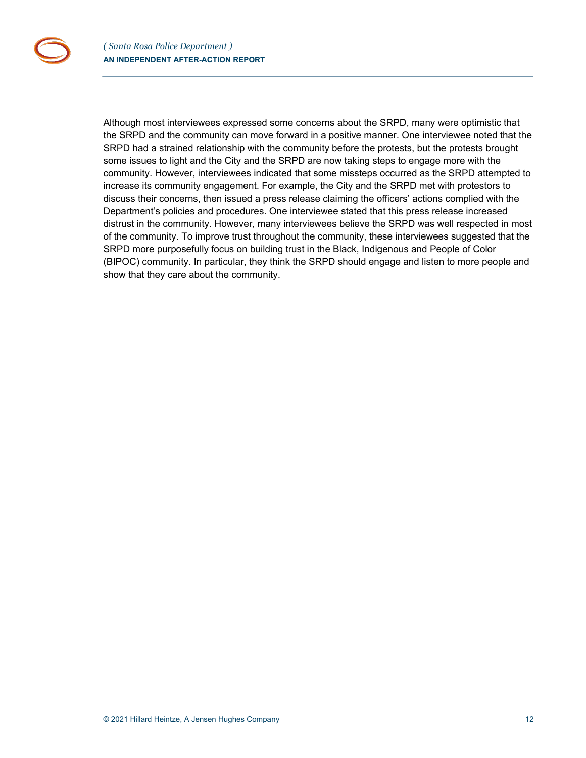Although most interviewees expressed some concerns about the SRPD, many were optimistic that the SRPD and the community can move forward in a positive manner. One interviewee noted that the SRPD had a strained relationship with the community before the protests, but the protests brought some issues to light and the City and the SRPD are now taking steps to engage more with the community. However, interviewees indicated that some missteps occurred as the SRPD attempted to increase its community engagement. For example, the City and the SRPD met with protestors to discuss their concerns, then issued a press release claiming the officers' actions complied with the Department's policies and procedures. One interviewee stated that this press release increased distrust in the community. However, many interviewees believe the SRPD was well respected in most of the community. To improve trust throughout the community, these interviewees suggested that the SRPD more purposefully focus on building trust in the Black, Indigenous and People of Color (BIPOC) community. In particular, they think the SRPD should engage and listen to more people and show that they care about the community.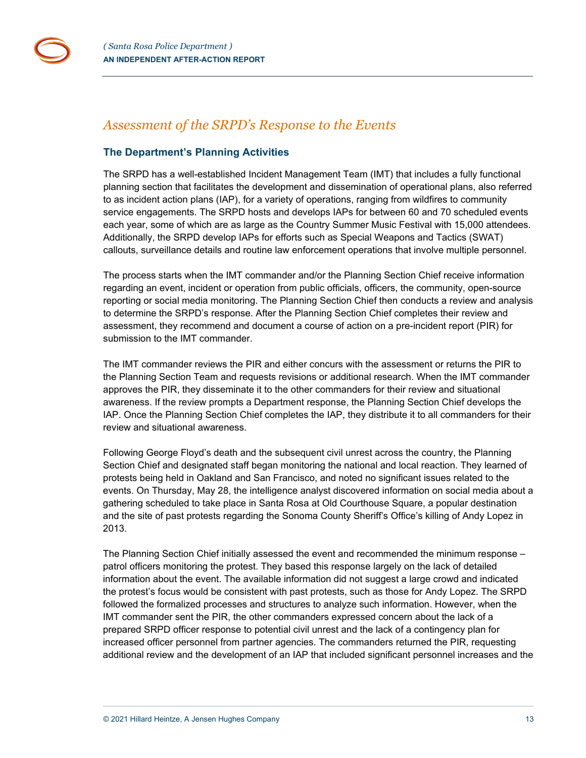

# <span id="page-12-0"></span>*Assessment of the SRPD's Response to the Events*

# <span id="page-12-1"></span>**The Department's Planning Activities**

The SRPD has a well-established Incident Management Team (IMT) that includes a fully functional planning section that facilitates the development and dissemination of operational plans, also referred to as incident action plans (IAP), for a variety of operations, ranging from wildfires to community service engagements. The SRPD hosts and develops IAPs for between 60 and 70 scheduled events each year, some of which are as large as the Country Summer Music Festival with 15,000 attendees. Additionally, the SRPD develop IAPs for efforts such as Special Weapons and Tactics (SWAT) callouts, surveillance details and routine law enforcement operations that involve multiple personnel.

The process starts when the IMT commander and/or the Planning Section Chief receive information regarding an event, incident or operation from public officials, officers, the community, open-source reporting or social media monitoring. The Planning Section Chief then conducts a review and analysis to determine the SRPD's response. After the Planning Section Chief completes their review and assessment, they recommend and document a course of action on a pre-incident report (PIR) for submission to the IMT commander.

The IMT commander reviews the PIR and either concurs with the assessment or returns the PIR to the Planning Section Team and requests revisions or additional research. When the IMT commander approves the PIR, they disseminate it to the other commanders for their review and situational awareness. If the review prompts a Department response, the Planning Section Chief develops the IAP. Once the Planning Section Chief completes the IAP, they distribute it to all commanders for their review and situational awareness.

Following George Floyd's death and the subsequent civil unrest across the country, the Planning Section Chief and designated staff began monitoring the national and local reaction. They learned of protests being held in Oakland and San Francisco, and noted no significant issues related to the events. On Thursday, May 28, the intelligence analyst discovered information on social media about a gathering scheduled to take place in Santa Rosa at Old Courthouse Square, a popular destination and the site of past protests regarding the Sonoma County Sheriff's Office's killing of Andy Lopez in 2013.

The Planning Section Chief initially assessed the event and recommended the minimum response – patrol officers monitoring the protest. They based this response largely on the lack of detailed information about the event. The available information did not suggest a large crowd and indicated the protest's focus would be consistent with past protests, such as those for Andy Lopez. The SRPD followed the formalized processes and structures to analyze such information. However, when the IMT commander sent the PIR, the other commanders expressed concern about the lack of a prepared SRPD officer response to potential civil unrest and the lack of a contingency plan for increased officer personnel from partner agencies. The commanders returned the PIR, requesting additional review and the development of an IAP that included significant personnel increases and the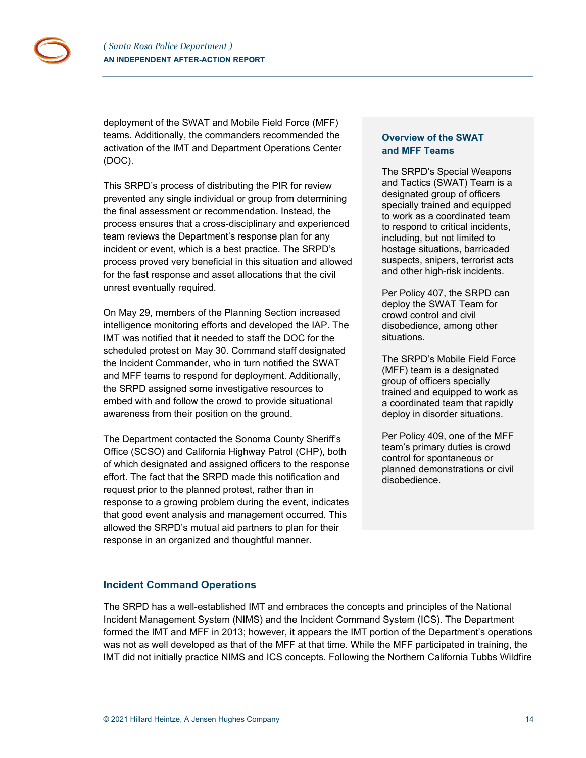deployment of the SWAT and Mobile Field Force (MFF) teams. Additionally, the commanders recommended the activation of the IMT and Department Operations Center (DOC).

This SRPD's process of distributing the PIR for review prevented any single individual or group from determining the final assessment or recommendation. Instead, the process ensures that a cross-disciplinary and experienced team reviews the Department's response plan for any incident or event, which is a best practice. The SRPD's process proved very beneficial in this situation and allowed for the fast response and asset allocations that the civil unrest eventually required.

On May 29, members of the Planning Section increased intelligence monitoring efforts and developed the IAP. The IMT was notified that it needed to staff the DOC for the scheduled protest on May 30. Command staff designated the Incident Commander, who in turn notified the SWAT and MFF teams to respond for deployment. Additionally, the SRPD assigned some investigative resources to embed with and follow the crowd to provide situational awareness from their position on the ground.

The Department contacted the Sonoma County Sheriff's Office (SCSO) and California Highway Patrol (CHP), both of which designated and assigned officers to the response effort. The fact that the SRPD made this notification and request prior to the planned protest, rather than in response to a growing problem during the event, indicates that good event analysis and management occurred. This allowed the SRPD's mutual aid partners to plan for their response in an organized and thoughtful manner.

# **Overview of the SWAT and MFF Teams**

The SRPD's Special Weapons and Tactics (SWAT) Team is a designated group of officers specially trained and equipped to work as a coordinated team to respond to critical incidents, including, but not limited to hostage situations, barricaded suspects, snipers, terrorist acts and other high-risk incidents.

Per Policy 407, the SRPD can deploy the SWAT Team for crowd control and civil disobedience, among other situations.

The SRPD's Mobile Field Force (MFF) team is a designated group of officers specially trained and equipped to work as a coordinated team that rapidly deploy in disorder situations.

Per Policy 409, one of the MFF team's primary duties is crowd control for spontaneous or planned demonstrations or civil disobedience.

# <span id="page-13-0"></span>**Incident Command Operations**

The SRPD has a well-established IMT and embraces the concepts and principles of the National Incident Management System (NIMS) and the Incident Command System (ICS). The Department formed the IMT and MFF in 2013; however, it appears the IMT portion of the Department's operations was not as well developed as that of the MFF at that time. While the MFF participated in training, the IMT did not initially practice NIMS and ICS concepts. Following the Northern California Tubbs Wildfire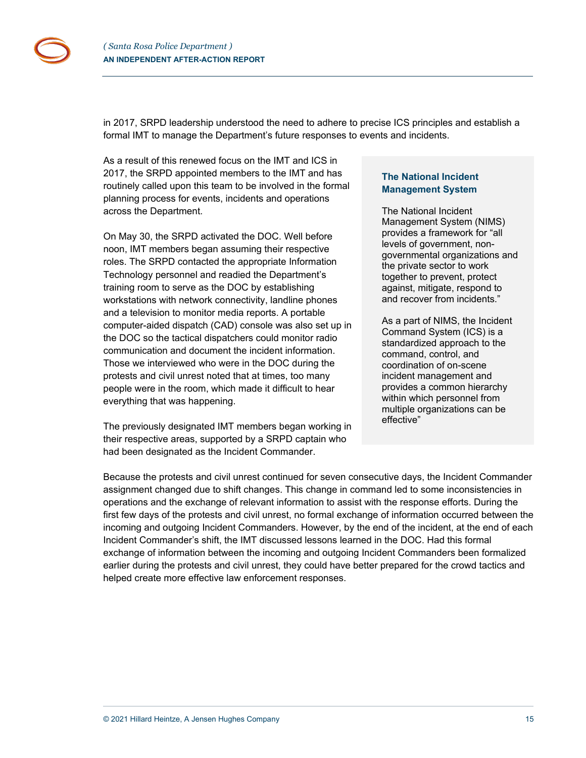in 2017, SRPD leadership understood the need to adhere to precise ICS principles and establish a formal IMT to manage the Department's future responses to events and incidents.

As a result of this renewed focus on the IMT and ICS in 2017, the SRPD appointed members to the IMT and has routinely called upon this team to be involved in the formal planning process for events, incidents and operations across the Department.

On May 30, the SRPD activated the DOC. Well before noon, IMT members began assuming their respective roles. The SRPD contacted the appropriate Information Technology personnel and readied the Department's training room to serve as the DOC by establishing workstations with network connectivity, landline phones and a television to monitor media reports. A portable computer-aided dispatch (CAD) console was also set up in the DOC so the tactical dispatchers could monitor radio communication and document the incident information. Those we interviewed who were in the DOC during the protests and civil unrest noted that at times, too many people were in the room, which made it difficult to hear everything that was happening.

The previously designated IMT members began working in their respective areas, supported by a SRPD captain who had been designated as the Incident Commander.

# **The National Incident Management System**

The National Incident Management System (NIMS) provides a framework for "all levels of government, nongovernmental organizations and the private sector to work together to prevent, protect against, mitigate, respond to and recover from incidents."

As a part of NIMS, the Incident Command System (ICS) is a standardized approach to the command, control, and coordination of on-scene incident management and provides a common hierarchy within which personnel from multiple organizations can be effective"

Because the protests and civil unrest continued for seven consecutive days, the Incident Commander assignment changed due to shift changes. This change in command led to some inconsistencies in operations and the exchange of relevant information to assist with the response efforts. During the first few days of the protests and civil unrest, no formal exchange of information occurred between the incoming and outgoing Incident Commanders. However, by the end of the incident, at the end of each Incident Commander's shift, the IMT discussed lessons learned in the DOC. Had this formal exchange of information between the incoming and outgoing Incident Commanders been formalized earlier during the protests and civil unrest, they could have better prepared for the crowd tactics and helped create more effective law enforcement responses.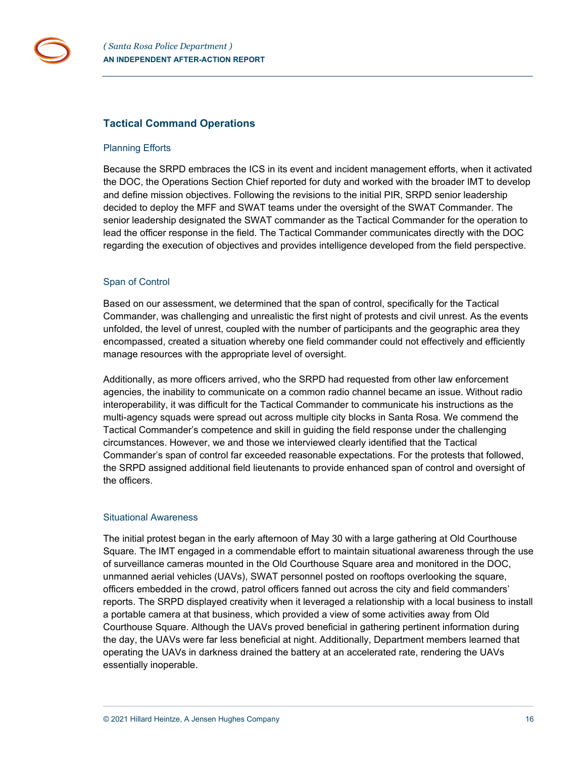

## <span id="page-15-0"></span>**Tactical Command Operations**

#### Planning Efforts

Because the SRPD embraces the ICS in its event and incident management efforts, when it activated the DOC, the Operations Section Chief reported for duty and worked with the broader IMT to develop and define mission objectives. Following the revisions to the initial PIR, SRPD senior leadership decided to deploy the MFF and SWAT teams under the oversight of the SWAT Commander. The senior leadership designated the SWAT commander as the Tactical Commander for the operation to lead the officer response in the field. The Tactical Commander communicates directly with the DOC regarding the execution of objectives and provides intelligence developed from the field perspective.

## Span of Control

Based on our assessment, we determined that the span of control, specifically for the Tactical Commander, was challenging and unrealistic the first night of protests and civil unrest. As the events unfolded, the level of unrest, coupled with the number of participants and the geographic area they encompassed, created a situation whereby one field commander could not effectively and efficiently manage resources with the appropriate level of oversight.

Additionally, as more officers arrived, who the SRPD had requested from other law enforcement agencies, the inability to communicate on a common radio channel became an issue. Without radio interoperability, it was difficult for the Tactical Commander to communicate his instructions as the multi-agency squads were spread out across multiple city blocks in Santa Rosa. We commend the Tactical Commander's competence and skill in guiding the field response under the challenging circumstances. However, we and those we interviewed clearly identified that the Tactical Commander's span of control far exceeded reasonable expectations. For the protests that followed, the SRPD assigned additional field lieutenants to provide enhanced span of control and oversight of the officers.

#### Situational Awareness

The initial protest began in the early afternoon of May 30 with a large gathering at Old Courthouse Square. The IMT engaged in a commendable effort to maintain situational awareness through the use of surveillance cameras mounted in the Old Courthouse Square area and monitored in the DOC, unmanned aerial vehicles (UAVs), SWAT personnel posted on rooftops overlooking the square, officers embedded in the crowd, patrol officers fanned out across the city and field commanders' reports. The SRPD displayed creativity when it leveraged a relationship with a local business to install a portable camera at that business, which provided a view of some activities away from Old Courthouse Square. Although the UAVs proved beneficial in gathering pertinent information during the day, the UAVs were far less beneficial at night. Additionally, Department members learned that operating the UAVs in darkness drained the battery at an accelerated rate, rendering the UAVs essentially inoperable.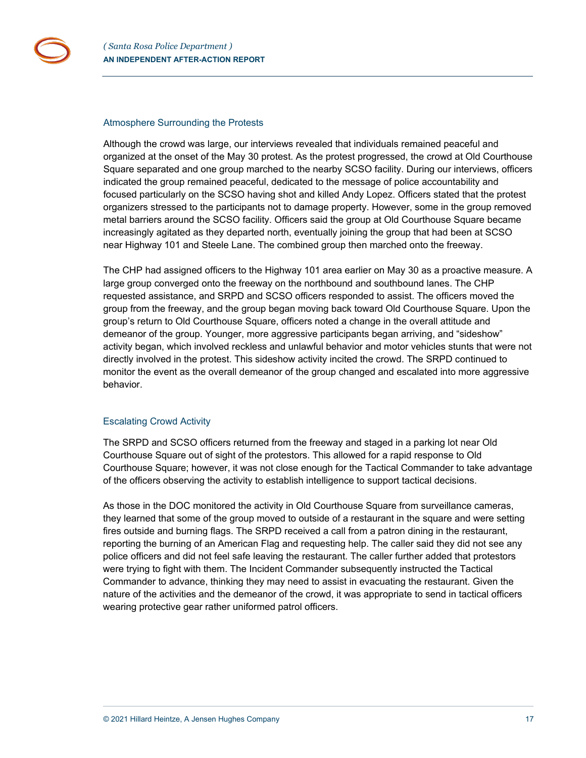

#### Atmosphere Surrounding the Protests

Although the crowd was large, our interviews revealed that individuals remained peaceful and organized at the onset of the May 30 protest. As the protest progressed, the crowd at Old Courthouse Square separated and one group marched to the nearby SCSO facility. During our interviews, officers indicated the group remained peaceful, dedicated to the message of police accountability and focused particularly on the SCSO having shot and killed Andy Lopez. Officers stated that the protest organizers stressed to the participants not to damage property. However, some in the group removed metal barriers around the SCSO facility. Officers said the group at Old Courthouse Square became increasingly agitated as they departed north, eventually joining the group that had been at SCSO near Highway 101 and Steele Lane. The combined group then marched onto the freeway.

The CHP had assigned officers to the Highway 101 area earlier on May 30 as a proactive measure. A large group converged onto the freeway on the northbound and southbound lanes. The CHP requested assistance, and SRPD and SCSO officers responded to assist. The officers moved the group from the freeway, and the group began moving back toward Old Courthouse Square. Upon the group's return to Old Courthouse Square, officers noted a change in the overall attitude and demeanor of the group. Younger, more aggressive participants began arriving, and "sideshow" activity began, which involved reckless and unlawful behavior and motor vehicles stunts that were not directly involved in the protest. This sideshow activity incited the crowd. The SRPD continued to monitor the event as the overall demeanor of the group changed and escalated into more aggressive behavior.

## Escalating Crowd Activity

The SRPD and SCSO officers returned from the freeway and staged in a parking lot near Old Courthouse Square out of sight of the protestors. This allowed for a rapid response to Old Courthouse Square; however, it was not close enough for the Tactical Commander to take advantage of the officers observing the activity to establish intelligence to support tactical decisions.

As those in the DOC monitored the activity in Old Courthouse Square from surveillance cameras, they learned that some of the group moved to outside of a restaurant in the square and were setting fires outside and burning flags. The SRPD received a call from a patron dining in the restaurant, reporting the burning of an American Flag and requesting help. The caller said they did not see any police officers and did not feel safe leaving the restaurant. The caller further added that protestors were trying to fight with them. The Incident Commander subsequently instructed the Tactical Commander to advance, thinking they may need to assist in evacuating the restaurant. Given the nature of the activities and the demeanor of the crowd, it was appropriate to send in tactical officers wearing protective gear rather uniformed patrol officers.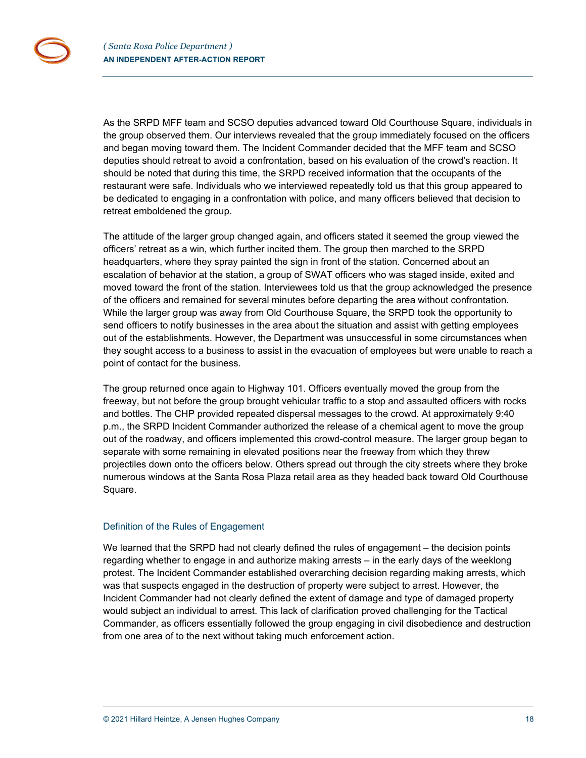As the SRPD MFF team and SCSO deputies advanced toward Old Courthouse Square, individuals in the group observed them. Our interviews revealed that the group immediately focused on the officers and began moving toward them. The Incident Commander decided that the MFF team and SCSO deputies should retreat to avoid a confrontation, based on his evaluation of the crowd's reaction. It should be noted that during this time, the SRPD received information that the occupants of the restaurant were safe. Individuals who we interviewed repeatedly told us that this group appeared to be dedicated to engaging in a confrontation with police, and many officers believed that decision to retreat emboldened the group.

The attitude of the larger group changed again, and officers stated it seemed the group viewed the officers' retreat as a win, which further incited them. The group then marched to the SRPD headquarters, where they spray painted the sign in front of the station. Concerned about an escalation of behavior at the station, a group of SWAT officers who was staged inside, exited and moved toward the front of the station. Interviewees told us that the group acknowledged the presence of the officers and remained for several minutes before departing the area without confrontation. While the larger group was away from Old Courthouse Square, the SRPD took the opportunity to send officers to notify businesses in the area about the situation and assist with getting employees out of the establishments. However, the Department was unsuccessful in some circumstances when they sought access to a business to assist in the evacuation of employees but were unable to reach a point of contact for the business.

The group returned once again to Highway 101. Officers eventually moved the group from the freeway, but not before the group brought vehicular traffic to a stop and assaulted officers with rocks and bottles. The CHP provided repeated dispersal messages to the crowd. At approximately 9:40 p.m., the SRPD Incident Commander authorized the release of a chemical agent to move the group out of the roadway, and officers implemented this crowd-control measure. The larger group began to separate with some remaining in elevated positions near the freeway from which they threw projectiles down onto the officers below. Others spread out through the city streets where they broke numerous windows at the Santa Rosa Plaza retail area as they headed back toward Old Courthouse Square.

#### Definition of the Rules of Engagement

We learned that the SRPD had not clearly defined the rules of engagement – the decision points regarding whether to engage in and authorize making arrests – in the early days of the weeklong protest. The Incident Commander established overarching decision regarding making arrests, which was that suspects engaged in the destruction of property were subject to arrest. However, the Incident Commander had not clearly defined the extent of damage and type of damaged property would subject an individual to arrest. This lack of clarification proved challenging for the Tactical Commander, as officers essentially followed the group engaging in civil disobedience and destruction from one area of to the next without taking much enforcement action.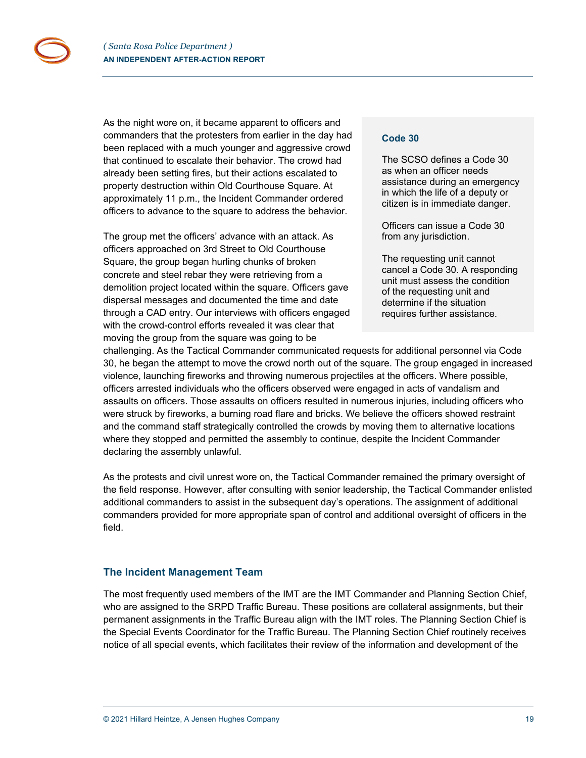As the night wore on, it became apparent to officers and commanders that the protesters from earlier in the day had been replaced with a much younger and aggressive crowd that continued to escalate their behavior. The crowd had already been setting fires, but their actions escalated to property destruction within Old Courthouse Square. At approximately 11 p.m., the Incident Commander ordered officers to advance to the square to address the behavior.

The group met the officers' advance with an attack. As officers approached on 3rd Street to Old Courthouse Square, the group began hurling chunks of broken concrete and steel rebar they were retrieving from a demolition project located within the square. Officers gave dispersal messages and documented the time and date through a CAD entry. Our interviews with officers engaged with the crowd-control efforts revealed it was clear that moving the group from the square was going to be

#### **Code 30**

The SCSO defines a Code 30 as when an officer needs assistance during an emergency in which the life of a deputy or citizen is in immediate danger.

Officers can issue a Code 30 from any jurisdiction.

The requesting unit cannot cancel a Code 30. A responding unit must assess the condition of the requesting unit and determine if the situation requires further assistance.

challenging. As the Tactical Commander communicated requests for additional personnel via Code 30, he began the attempt to move the crowd north out of the square. The group engaged in increased violence, launching fireworks and throwing numerous projectiles at the officers. Where possible, officers arrested individuals who the officers observed were engaged in acts of vandalism and assaults on officers. Those assaults on officers resulted in numerous injuries, including officers who were struck by fireworks, a burning road flare and bricks. We believe the officers showed restraint and the command staff strategically controlled the crowds by moving them to alternative locations where they stopped and permitted the assembly to continue, despite the Incident Commander declaring the assembly unlawful.

As the protests and civil unrest wore on, the Tactical Commander remained the primary oversight of the field response. However, after consulting with senior leadership, the Tactical Commander enlisted additional commanders to assist in the subsequent day's operations. The assignment of additional commanders provided for more appropriate span of control and additional oversight of officers in the field.

## <span id="page-18-0"></span>**The Incident Management Team**

The most frequently used members of the IMT are the IMT Commander and Planning Section Chief, who are assigned to the SRPD Traffic Bureau. These positions are collateral assignments, but their permanent assignments in the Traffic Bureau align with the IMT roles. The Planning Section Chief is the Special Events Coordinator for the Traffic Bureau. The Planning Section Chief routinely receives notice of all special events, which facilitates their review of the information and development of the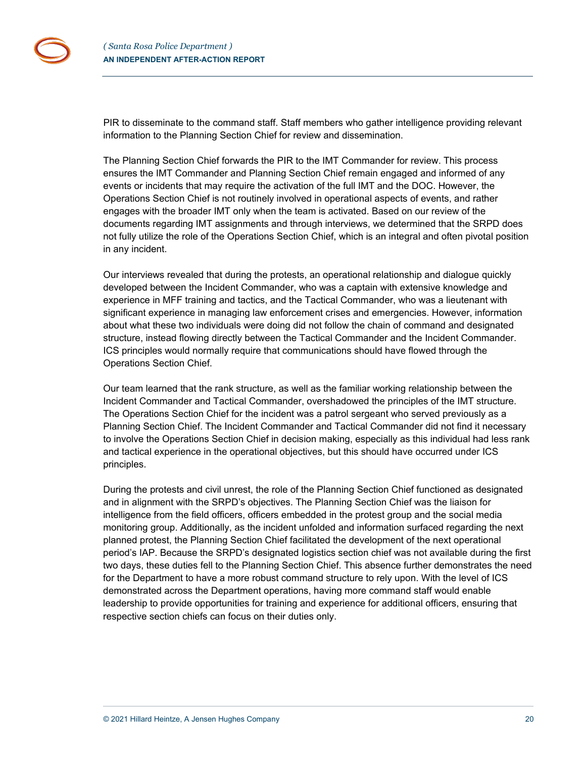PIR to disseminate to the command staff. Staff members who gather intelligence providing relevant information to the Planning Section Chief for review and dissemination.

The Planning Section Chief forwards the PIR to the IMT Commander for review. This process ensures the IMT Commander and Planning Section Chief remain engaged and informed of any events or incidents that may require the activation of the full IMT and the DOC. However, the Operations Section Chief is not routinely involved in operational aspects of events, and rather engages with the broader IMT only when the team is activated. Based on our review of the documents regarding IMT assignments and through interviews, we determined that the SRPD does not fully utilize the role of the Operations Section Chief, which is an integral and often pivotal position in any incident.

Our interviews revealed that during the protests, an operational relationship and dialogue quickly developed between the Incident Commander, who was a captain with extensive knowledge and experience in MFF training and tactics, and the Tactical Commander, who was a lieutenant with significant experience in managing law enforcement crises and emergencies. However, information about what these two individuals were doing did not follow the chain of command and designated structure, instead flowing directly between the Tactical Commander and the Incident Commander. ICS principles would normally require that communications should have flowed through the Operations Section Chief.

Our team learned that the rank structure, as well as the familiar working relationship between the Incident Commander and Tactical Commander, overshadowed the principles of the IMT structure. The Operations Section Chief for the incident was a patrol sergeant who served previously as a Planning Section Chief. The Incident Commander and Tactical Commander did not find it necessary to involve the Operations Section Chief in decision making, especially as this individual had less rank and tactical experience in the operational objectives, but this should have occurred under ICS principles.

During the protests and civil unrest, the role of the Planning Section Chief functioned as designated and in alignment with the SRPD's objectives. The Planning Section Chief was the liaison for intelligence from the field officers, officers embedded in the protest group and the social media monitoring group. Additionally, as the incident unfolded and information surfaced regarding the next planned protest, the Planning Section Chief facilitated the development of the next operational period's IAP. Because the SRPD's designated logistics section chief was not available during the first two days, these duties fell to the Planning Section Chief. This absence further demonstrates the need for the Department to have a more robust command structure to rely upon. With the level of ICS demonstrated across the Department operations, having more command staff would enable leadership to provide opportunities for training and experience for additional officers, ensuring that respective section chiefs can focus on their duties only.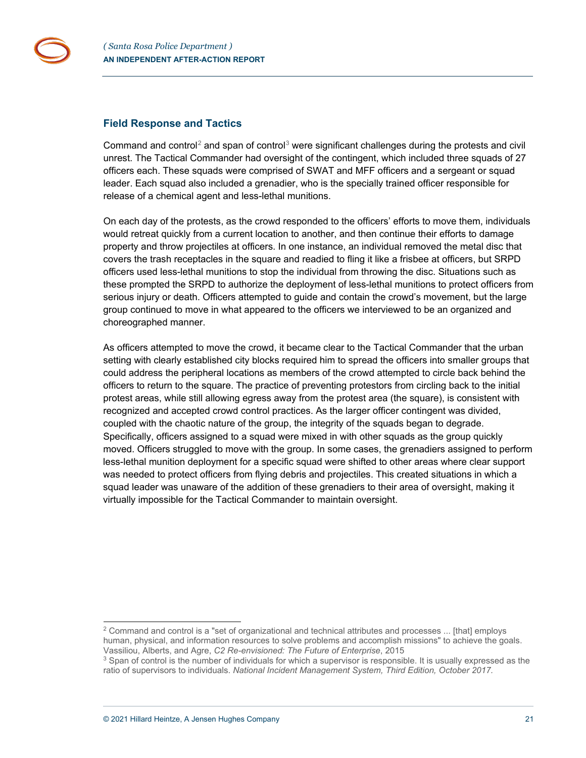

### <span id="page-20-0"></span>**Field Response and Tactics**

Command and control<sup>[2](#page-20-1)</sup> and span of control<sup>[3](#page-20-2)</sup> were significant challenges during the protests and civil unrest. The Tactical Commander had oversight of the contingent, which included three squads of 27 officers each. These squads were comprised of SWAT and MFF officers and a sergeant or squad leader. Each squad also included a grenadier, who is the specially trained officer responsible for release of a chemical agent and less-lethal munitions.

On each day of the protests, as the crowd responded to the officers' efforts to move them, individuals would retreat quickly from a current location to another, and then continue their efforts to damage property and throw projectiles at officers. In one instance, an individual removed the metal disc that covers the trash receptacles in the square and readied to fling it like a frisbee at officers, but SRPD officers used less-lethal munitions to stop the individual from throwing the disc. Situations such as these prompted the SRPD to authorize the deployment of less-lethal munitions to protect officers from serious injury or death. Officers attempted to guide and contain the crowd's movement, but the large group continued to move in what appeared to the officers we interviewed to be an organized and choreographed manner.

As officers attempted to move the crowd, it became clear to the Tactical Commander that the urban setting with clearly established city blocks required him to spread the officers into smaller groups that could address the peripheral locations as members of the crowd attempted to circle back behind the officers to return to the square. The practice of preventing protestors from circling back to the initial protest areas, while still allowing egress away from the protest area (the square), is consistent with recognized and accepted crowd control practices. As the larger officer contingent was divided, coupled with the chaotic nature of the group, the integrity of the squads began to degrade. Specifically, officers assigned to a squad were mixed in with other squads as the group quickly moved. Officers struggled to move with the group. In some cases, the grenadiers assigned to perform less-lethal munition deployment for a specific squad were shifted to other areas where clear support was needed to protect officers from flying debris and projectiles. This created situations in which a squad leader was unaware of the addition of these grenadiers to their area of oversight, making it virtually impossible for the Tactical Commander to maintain oversight.

<span id="page-20-1"></span><sup>&</sup>lt;sup>2</sup> Command and control is a "set of organizational and technical attributes and processes ... [that] employs human, physical, and information resources to solve problems and accomplish missions" to achieve the goals. Vassiliou, Alberts, and Agre, *C2 Re-envisioned: The Future of Enterprise*, 2015

<span id="page-20-2"></span> $3$  Span of control is the number of individuals for which a supervisor is responsible. It is usually expressed as the ratio of supervisors to individuals. *National Incident Management System, Third Edition, October 2017.*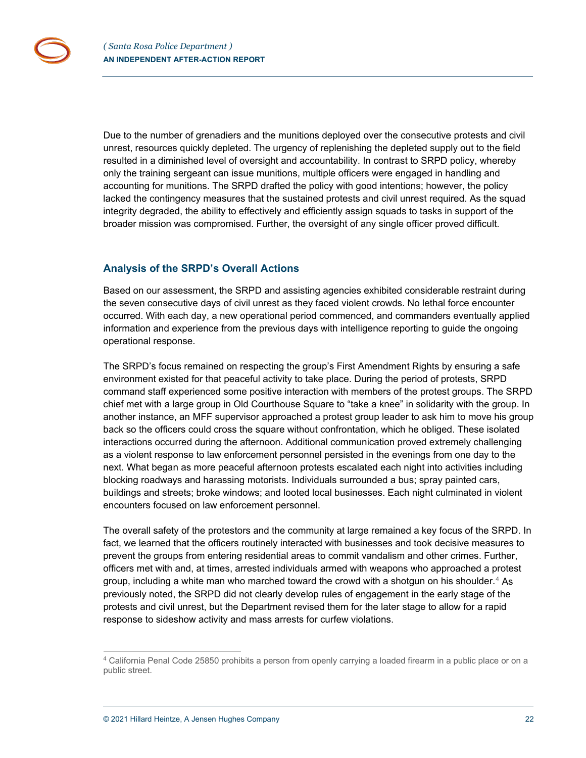Due to the number of grenadiers and the munitions deployed over the consecutive protests and civil unrest, resources quickly depleted. The urgency of replenishing the depleted supply out to the field resulted in a diminished level of oversight and accountability. In contrast to SRPD policy, whereby only the training sergeant can issue munitions, multiple officers were engaged in handling and accounting for munitions. The SRPD drafted the policy with good intentions; however, the policy lacked the contingency measures that the sustained protests and civil unrest required. As the squad integrity degraded, the ability to effectively and efficiently assign squads to tasks in support of the broader mission was compromised. Further, the oversight of any single officer proved difficult.

# <span id="page-21-0"></span>**Analysis of the SRPD's Overall Actions**

Based on our assessment, the SRPD and assisting agencies exhibited considerable restraint during the seven consecutive days of civil unrest as they faced violent crowds. No lethal force encounter occurred. With each day, a new operational period commenced, and commanders eventually applied information and experience from the previous days with intelligence reporting to guide the ongoing operational response.

The SRPD's focus remained on respecting the group's First Amendment Rights by ensuring a safe environment existed for that peaceful activity to take place. During the period of protests, SRPD command staff experienced some positive interaction with members of the protest groups. The SRPD chief met with a large group in Old Courthouse Square to "take a knee" in solidarity with the group. In another instance, an MFF supervisor approached a protest group leader to ask him to move his group back so the officers could cross the square without confrontation, which he obliged. These isolated interactions occurred during the afternoon. Additional communication proved extremely challenging as a violent response to law enforcement personnel persisted in the evenings from one day to the next. What began as more peaceful afternoon protests escalated each night into activities including blocking roadways and harassing motorists. Individuals surrounded a bus; spray painted cars, buildings and streets; broke windows; and looted local businesses. Each night culminated in violent encounters focused on law enforcement personnel.

The overall safety of the protestors and the community at large remained a key focus of the SRPD. In fact, we learned that the officers routinely interacted with businesses and took decisive measures to prevent the groups from entering residential areas to commit vandalism and other crimes. Further, officers met with and, at times, arrested individuals armed with weapons who approached a protest group, including a white man who marched toward the crowd with a shotgun on his shoulder. $^{\text{4}}$  $^{\text{4}}$  $^{\text{4}}$  As previously noted, the SRPD did not clearly develop rules of engagement in the early stage of the protests and civil unrest, but the Department revised them for the later stage to allow for a rapid response to sideshow activity and mass arrests for curfew violations.

<span id="page-21-1"></span><sup>4</sup> California Penal Code 25850 prohibits a person from openly carrying a loaded firearm in a public place or on a public street.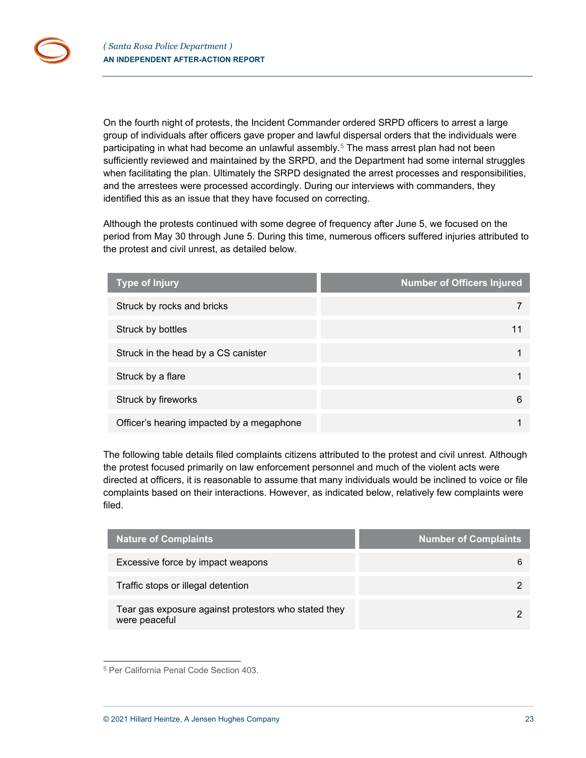On the fourth night of protests, the Incident Commander ordered SRPD officers to arrest a large group of individuals after officers gave proper and lawful dispersal orders that the individuals were participating in what had become an unlawful assembly. [5](#page-22-0) The mass arrest plan had not been sufficiently reviewed and maintained by the SRPD, and the Department had some internal struggles when facilitating the plan. Ultimately the SRPD designated the arrest processes and responsibilities, and the arrestees were processed accordingly. During our interviews with commanders, they identified this as an issue that they have focused on correcting.

Although the protests continued with some degree of frequency after June 5, we focused on the period from May 30 through June 5. During this time, numerous officers suffered injuries attributed to the protest and civil unrest, as detailed below.

| <b>Type of Injury</b>                     | <b>Number of Officers Injured</b> |
|-------------------------------------------|-----------------------------------|
| Struck by rocks and bricks                |                                   |
| Struck by bottles                         |                                   |
| Struck in the head by a CS canister       |                                   |
| Struck by a flare                         |                                   |
| Struck by fireworks                       | 6                                 |
| Officer's hearing impacted by a megaphone |                                   |

The following table details filed complaints citizens attributed to the protest and civil unrest. Although the protest focused primarily on law enforcement personnel and much of the violent acts were directed at officers, it is reasonable to assume that many individuals would be inclined to voice or file complaints based on their interactions. However, as indicated below, relatively few complaints were filed.

| Nature of Complaints                                                  | <b>Number of Complaints</b> |
|-----------------------------------------------------------------------|-----------------------------|
| Excessive force by impact weapons                                     | 6                           |
| Traffic stops or illegal detention                                    |                             |
| Tear gas exposure against protestors who stated they<br>were peaceful |                             |

<span id="page-22-0"></span><sup>5</sup> Per California Penal Code Section 403.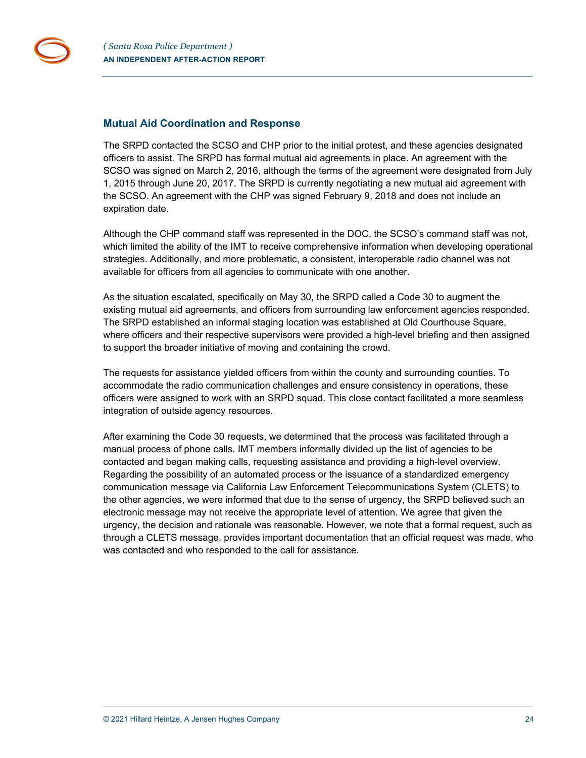

### <span id="page-23-0"></span>**Mutual Aid Coordination and Response**

The SRPD contacted the SCSO and CHP prior to the initial protest, and these agencies designated officers to assist. The SRPD has formal mutual aid agreements in place. An agreement with the SCSO was signed on March 2, 2016, although the terms of the agreement were designated from July 1, 2015 through June 20, 2017. The SRPD is currently negotiating a new mutual aid agreement with the SCSO. An agreement with the CHP was signed February 9, 2018 and does not include an expiration date.

Although the CHP command staff was represented in the DOC, the SCSO's command staff was not, which limited the ability of the IMT to receive comprehensive information when developing operational strategies. Additionally, and more problematic, a consistent, interoperable radio channel was not available for officers from all agencies to communicate with one another.

As the situation escalated, specifically on May 30, the SRPD called a Code 30 to augment the existing mutual aid agreements, and officers from surrounding law enforcement agencies responded. The SRPD established an informal staging location was established at Old Courthouse Square, where officers and their respective supervisors were provided a high-level briefing and then assigned to support the broader initiative of moving and containing the crowd.

The requests for assistance yielded officers from within the county and surrounding counties. To accommodate the radio communication challenges and ensure consistency in operations, these officers were assigned to work with an SRPD squad. This close contact facilitated a more seamless integration of outside agency resources.

After examining the Code 30 requests, we determined that the process was facilitated through a manual process of phone calls. IMT members informally divided up the list of agencies to be contacted and began making calls, requesting assistance and providing a high-level overview. Regarding the possibility of an automated process or the issuance of a standardized emergency communication message via California Law Enforcement Telecommunications System (CLETS) to the other agencies, we were informed that due to the sense of urgency, the SRPD believed such an electronic message may not receive the appropriate level of attention. We agree that given the urgency, the decision and rationale was reasonable. However, we note that a formal request, such as through a CLETS message, provides important documentation that an official request was made, who was contacted and who responded to the call for assistance.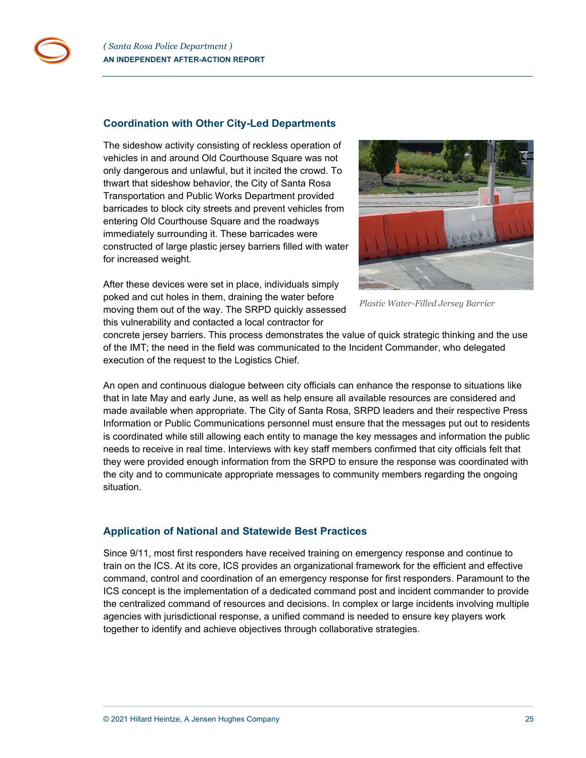

### <span id="page-24-0"></span>**Coordination with Other City-Led Departments**

The sideshow activity consisting of reckless operation of vehicles in and around Old Courthouse Square was not only dangerous and unlawful, but it incited the crowd. To thwart that sideshow behavior, the City of Santa Rosa Transportation and Public Works Department provided barricades to block city streets and prevent vehicles from entering Old Courthouse Square and the roadways immediately surrounding it. These barricades were constructed of large plastic jersey barriers filled with water for increased weight.



After these devices were set in place, individuals simply poked and cut holes in them, draining the water before moving them out of the way. The SRPD quickly assessed this vulnerability and contacted a local contractor for

*Plastic Water-Filled Jersey Barrier*

concrete jersey barriers. This process demonstrates the value of quick strategic thinking and the use of the IMT; the need in the field was communicated to the Incident Commander, who delegated execution of the request to the Logistics Chief.

An open and continuous dialogue between city officials can enhance the response to situations like that in late May and early June, as well as help ensure all available resources are considered and made available when appropriate. The City of Santa Rosa, SRPD leaders and their respective Press Information or Public Communications personnel must ensure that the messages put out to residents is coordinated while still allowing each entity to manage the key messages and information the public needs to receive in real time. Interviews with key staff members confirmed that city officials felt that they were provided enough information from the SRPD to ensure the response was coordinated with the city and to communicate appropriate messages to community members regarding the ongoing situation.

## <span id="page-24-1"></span>**Application of National and Statewide Best Practices**

Since 9/11, most first responders have received training on emergency response and continue to train on the ICS. At its core, ICS provides an organizational framework for the efficient and effective command, control and coordination of an emergency response for first responders. Paramount to the ICS concept is the implementation of a dedicated command post and incident commander to provide the centralized command of resources and decisions. In complex or large incidents involving multiple agencies with jurisdictional response, a unified command is needed to ensure key players work together to identify and achieve objectives through collaborative strategies.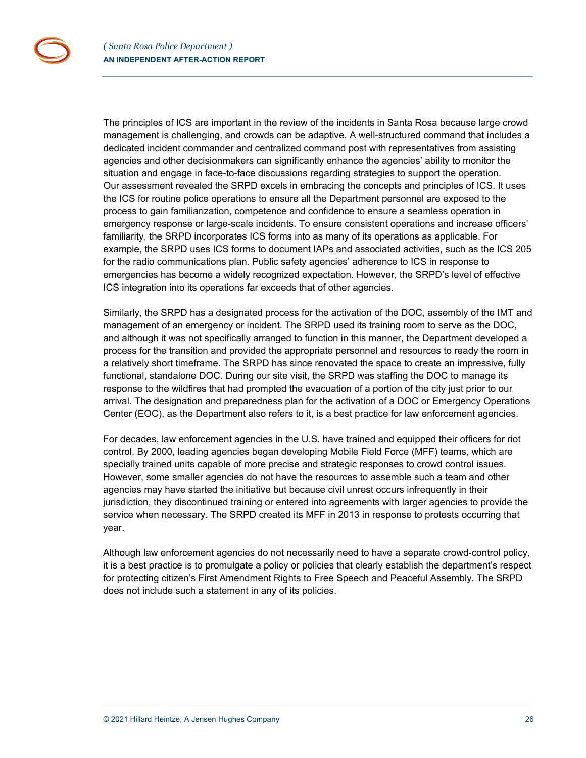The principles of ICS are important in the review of the incidents in Santa Rosa because large crowd management is challenging, and crowds can be adaptive. A well-structured command that includes a dedicated incident commander and centralized command post with representatives from assisting agencies and other decisionmakers can significantly enhance the agencies' ability to monitor the situation and engage in face-to-face discussions regarding strategies to support the operation. Our assessment revealed the SRPD excels in embracing the concepts and principles of ICS. It uses the ICS for routine police operations to ensure all the Department personnel are exposed to the process to gain familiarization, competence and confidence to ensure a seamless operation in emergency response or large-scale incidents. To ensure consistent operations and increase officers' familiarity, the SRPD incorporates ICS forms into as many of its operations as applicable. For example, the SRPD uses ICS forms to document IAPs and associated activities, such as the ICS 205 for the radio communications plan. Public safety agencies' adherence to ICS in response to emergencies has become a widely recognized expectation. However, the SRPD's level of effective ICS integration into its operations far exceeds that of other agencies.

Similarly, the SRPD has a designated process for the activation of the DOC, assembly of the IMT and management of an emergency or incident. The SRPD used its training room to serve as the DOC, and although it was not specifically arranged to function in this manner, the Department developed a process for the transition and provided the appropriate personnel and resources to ready the room in a relatively short timeframe. The SRPD has since renovated the space to create an impressive, fully functional, standalone DOC. During our site visit, the SRPD was staffing the DOC to manage its response to the wildfires that had prompted the evacuation of a portion of the city just prior to our arrival. The designation and preparedness plan for the activation of a DOC or Emergency Operations Center (EOC), as the Department also refers to it, is a best practice for law enforcement agencies.

For decades, law enforcement agencies in the U.S. have trained and equipped their officers for riot control. By 2000, leading agencies began developing Mobile Field Force (MFF) teams, which are specially trained units capable of more precise and strategic responses to crowd control issues. However, some smaller agencies do not have the resources to assemble such a team and other agencies may have started the initiative but because civil unrest occurs infrequently in their jurisdiction, they discontinued training or entered into agreements with larger agencies to provide the service when necessary. The SRPD created its MFF in 2013 in response to protests occurring that year.

Although law enforcement agencies do not necessarily need to have a separate crowd-control policy, it is a best practice is to promulgate a policy or policies that clearly establish the department's respect for protecting citizen's First Amendment Rights to Free Speech and Peaceful Assembly. The SRPD does not include such a statement in any of its policies.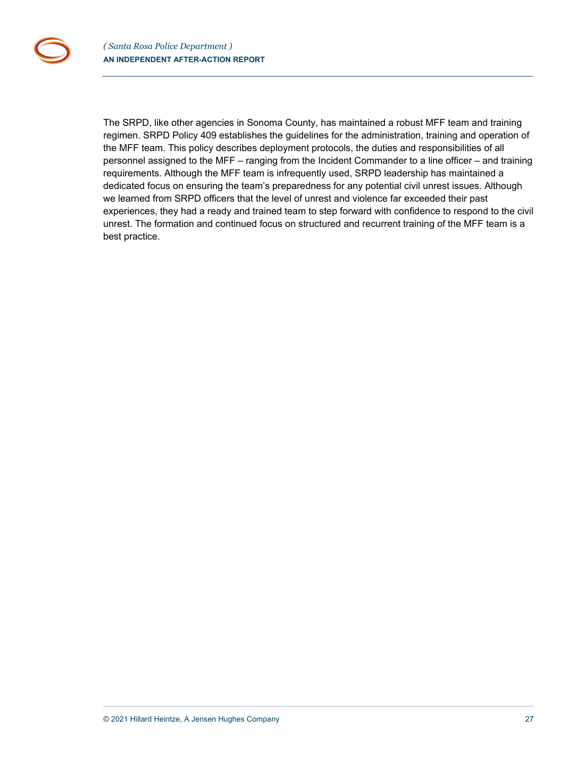The SRPD, like other agencies in Sonoma County, has maintained a robust MFF team and training regimen. SRPD Policy 409 establishes the guidelines for the administration, training and operation of the MFF team. This policy describes deployment protocols, the duties and responsibilities of all personnel assigned to the MFF – ranging from the Incident Commander to a line officer – and training requirements. Although the MFF team is infrequently used, SRPD leadership has maintained a dedicated focus on ensuring the team's preparedness for any potential civil unrest issues. Although we learned from SRPD officers that the level of unrest and violence far exceeded their past experiences, they had a ready and trained team to step forward with confidence to respond to the civil unrest. The formation and continued focus on structured and recurrent training of the MFF team is a best practice.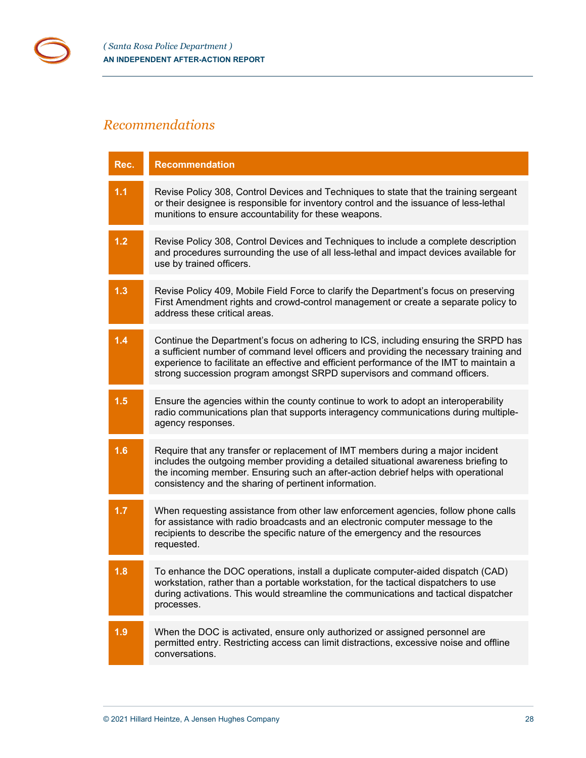# <span id="page-27-0"></span>*Recommendations*

r п

| Rec.  | <b>Recommendation</b>                                                                                                                                                                                                                                                                                                                                 |
|-------|-------------------------------------------------------------------------------------------------------------------------------------------------------------------------------------------------------------------------------------------------------------------------------------------------------------------------------------------------------|
| 1.1   | Revise Policy 308, Control Devices and Techniques to state that the training sergeant<br>or their designee is responsible for inventory control and the issuance of less-lethal<br>munitions to ensure accountability for these weapons.                                                                                                              |
| $1.2$ | Revise Policy 308, Control Devices and Techniques to include a complete description<br>and procedures surrounding the use of all less-lethal and impact devices available for<br>use by trained officers.                                                                                                                                             |
| 1.3   | Revise Policy 409, Mobile Field Force to clarify the Department's focus on preserving<br>First Amendment rights and crowd-control management or create a separate policy to<br>address these critical areas.                                                                                                                                          |
| 1.4   | Continue the Department's focus on adhering to ICS, including ensuring the SRPD has<br>a sufficient number of command level officers and providing the necessary training and<br>experience to facilitate an effective and efficient performance of the IMT to maintain a<br>strong succession program amongst SRPD supervisors and command officers. |
| 1.5   | Ensure the agencies within the county continue to work to adopt an interoperability<br>radio communications plan that supports interagency communications during multiple-<br>agency responses.                                                                                                                                                       |
| 1.6   | Require that any transfer or replacement of IMT members during a major incident<br>includes the outgoing member providing a detailed situational awareness briefing to<br>the incoming member. Ensuring such an after-action debrief helps with operational<br>consistency and the sharing of pertinent information.                                  |
| 1.7   | When requesting assistance from other law enforcement agencies, follow phone calls<br>for assistance with radio broadcasts and an electronic computer message to the<br>recipients to describe the specific nature of the emergency and the resources<br>requested.                                                                                   |
| 1.8   | To enhance the DOC operations, install a duplicate computer-aided dispatch (CAD)<br>workstation, rather than a portable workstation, for the tactical dispatchers to use<br>during activations. This would streamline the communications and tactical dispatcher<br>processes.                                                                        |
| 1.9   | When the DOC is activated, ensure only authorized or assigned personnel are<br>permitted entry. Restricting access can limit distractions, excessive noise and offline<br>conversations.                                                                                                                                                              |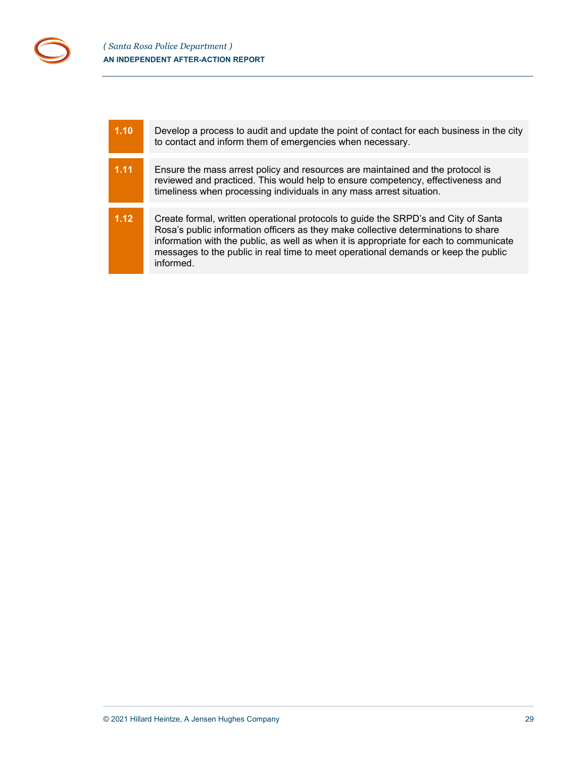| 1.10 | Develop a process to audit and update the point of contact for each business in the city<br>to contact and inform them of emergencies when necessary.                                                                                                                                                                                                                 |
|------|-----------------------------------------------------------------------------------------------------------------------------------------------------------------------------------------------------------------------------------------------------------------------------------------------------------------------------------------------------------------------|
|      |                                                                                                                                                                                                                                                                                                                                                                       |
| 1.11 | Ensure the mass arrest policy and resources are maintained and the protocol is<br>reviewed and practiced. This would help to ensure competency, effectiveness and<br>timeliness when processing individuals in any mass arrest situation.                                                                                                                             |
|      |                                                                                                                                                                                                                                                                                                                                                                       |
| 1.12 | Create formal, written operational protocols to guide the SRPD's and City of Santa<br>Rosa's public information officers as they make collective determinations to share<br>information with the public, as well as when it is appropriate for each to communicate<br>messages to the public in real time to meet operational demands or keep the public<br>informed. |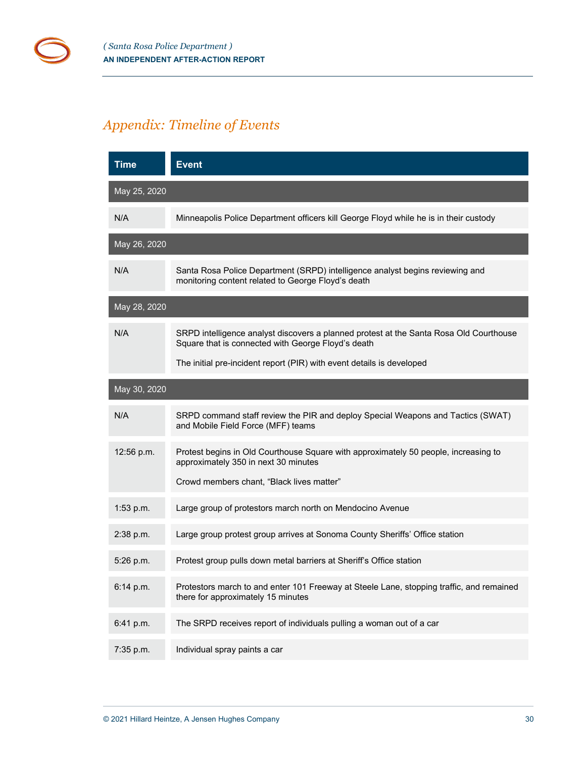# <span id="page-29-0"></span>*Appendix: Timeline of Events*

| <b>Time</b>  | <b>Event</b>                                                                                                                                 |
|--------------|----------------------------------------------------------------------------------------------------------------------------------------------|
| May 25, 2020 |                                                                                                                                              |
| N/A          | Minneapolis Police Department officers kill George Floyd while he is in their custody                                                        |
| May 26, 2020 |                                                                                                                                              |
| N/A          | Santa Rosa Police Department (SRPD) intelligence analyst begins reviewing and<br>monitoring content related to George Floyd's death          |
| May 28, 2020 |                                                                                                                                              |
| N/A          | SRPD intelligence analyst discovers a planned protest at the Santa Rosa Old Courthouse<br>Square that is connected with George Floyd's death |
|              | The initial pre-incident report (PIR) with event details is developed                                                                        |
| May 30, 2020 |                                                                                                                                              |
| N/A          | SRPD command staff review the PIR and deploy Special Weapons and Tactics (SWAT)<br>and Mobile Field Force (MFF) teams                        |
| 12:56 p.m.   | Protest begins in Old Courthouse Square with approximately 50 people, increasing to<br>approximately 350 in next 30 minutes                  |
|              | Crowd members chant, "Black lives matter"                                                                                                    |
| 1:53 p.m.    | Large group of protestors march north on Mendocino Avenue                                                                                    |
| 2:38 p.m.    | Large group protest group arrives at Sonoma County Sheriffs' Office station                                                                  |
| 5:26 p.m.    | Protest group pulls down metal barriers at Sheriff's Office station                                                                          |
| 6:14 p.m.    | Protestors march to and enter 101 Freeway at Steele Lane, stopping traffic, and remained<br>there for approximately 15 minutes               |
| 6:41 p.m.    | The SRPD receives report of individuals pulling a woman out of a car                                                                         |
| 7:35 p.m.    | Individual spray paints a car                                                                                                                |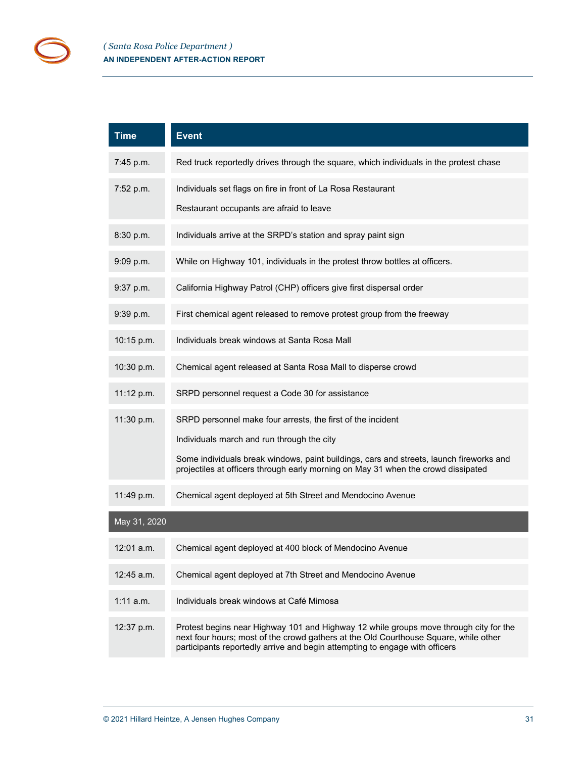| <b>Time</b>  | <b>Event</b>                                                                                                                                                                                                                                                 |
|--------------|--------------------------------------------------------------------------------------------------------------------------------------------------------------------------------------------------------------------------------------------------------------|
| 7:45 p.m.    | Red truck reportedly drives through the square, which individuals in the protest chase                                                                                                                                                                       |
| 7:52 p.m.    | Individuals set flags on fire in front of La Rosa Restaurant<br>Restaurant occupants are afraid to leave                                                                                                                                                     |
|              |                                                                                                                                                                                                                                                              |
| 8:30 p.m.    | Individuals arrive at the SRPD's station and spray paint sign                                                                                                                                                                                                |
| 9:09 p.m.    | While on Highway 101, individuals in the protest throw bottles at officers.                                                                                                                                                                                  |
| 9:37 p.m.    | California Highway Patrol (CHP) officers give first dispersal order                                                                                                                                                                                          |
| 9:39 p.m.    | First chemical agent released to remove protest group from the freeway                                                                                                                                                                                       |
| 10:15 p.m.   | Individuals break windows at Santa Rosa Mall                                                                                                                                                                                                                 |
| 10:30 p.m.   | Chemical agent released at Santa Rosa Mall to disperse crowd                                                                                                                                                                                                 |
| 11:12 p.m.   | SRPD personnel request a Code 30 for assistance                                                                                                                                                                                                              |
| 11:30 p.m.   | SRPD personnel make four arrests, the first of the incident                                                                                                                                                                                                  |
|              | Individuals march and run through the city                                                                                                                                                                                                                   |
|              | Some individuals break windows, paint buildings, cars and streets, launch fireworks and<br>projectiles at officers through early morning on May 31 when the crowd dissipated                                                                                 |
| 11:49 p.m.   | Chemical agent deployed at 5th Street and Mendocino Avenue                                                                                                                                                                                                   |
| May 31, 2020 |                                                                                                                                                                                                                                                              |
| 12:01 a.m.   | Chemical agent deployed at 400 block of Mendocino Avenue                                                                                                                                                                                                     |
| $12:45$ a.m. | Chemical agent deployed at 7th Street and Mendocino Avenue                                                                                                                                                                                                   |
| 1:11a.m.     | Individuals break windows at Café Mimosa                                                                                                                                                                                                                     |
| 12:37 p.m.   | Protest begins near Highway 101 and Highway 12 while groups move through city for the<br>next four hours; most of the crowd gathers at the Old Courthouse Square, while other<br>participants reportedly arrive and begin attempting to engage with officers |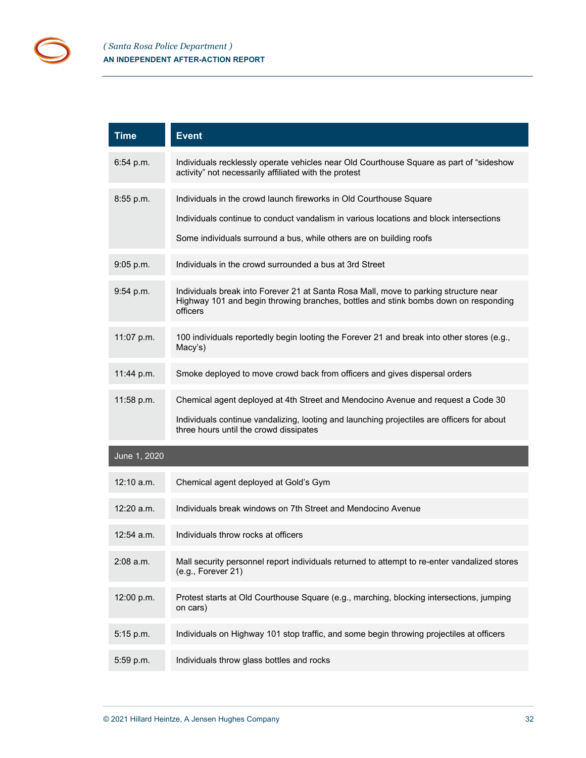| <b>Time</b>  | <b>Event</b>                                                                                                                                                                            |
|--------------|-----------------------------------------------------------------------------------------------------------------------------------------------------------------------------------------|
| 6:54 p.m.    | Individuals recklessly operate vehicles near Old Courthouse Square as part of "sideshow<br>activity" not necessarily affiliated with the protest                                        |
| $8:55$ p.m.  | Individuals in the crowd launch fireworks in Old Courthouse Square                                                                                                                      |
|              | Individuals continue to conduct vandalism in various locations and block intersections                                                                                                  |
|              | Some individuals surround a bus, while others are on building roofs                                                                                                                     |
| 9:05 p.m.    | Individuals in the crowd surrounded a bus at 3rd Street                                                                                                                                 |
| $9:54$ p.m.  | Individuals break into Forever 21 at Santa Rosa Mall, move to parking structure near<br>Highway 101 and begin throwing branches, bottles and stink bombs down on responding<br>officers |
| 11:07 p.m.   | 100 individuals reportedly begin looting the Forever 21 and break into other stores (e.g.,<br>Macy's)                                                                                   |
| 11:44 p.m.   | Smoke deployed to move crowd back from officers and gives dispersal orders                                                                                                              |
| 11:58 p.m.   | Chemical agent deployed at 4th Street and Mendocino Avenue and request a Code 30                                                                                                        |
|              | Individuals continue vandalizing, looting and launching projectiles are officers for about<br>three hours until the crowd dissipates                                                    |
| June 1, 2020 |                                                                                                                                                                                         |
| $12:10$ a.m. | Chemical agent deployed at Gold's Gym                                                                                                                                                   |
| $12:20$ a.m. | Individuals break windows on 7th Street and Mendocino Avenue                                                                                                                            |
| $12:54$ a.m. | Individuals throw rocks at officers                                                                                                                                                     |
| 2:08 a.m.    | Mall security personnel report individuals returned to attempt to re-enter vandalized stores<br>(e.g., Forever 21)                                                                      |
| 12:00 p.m.   | Protest starts at Old Courthouse Square (e.g., marching, blocking intersections, jumping<br>on cars)                                                                                    |
| 5:15 p.m.    | Individuals on Highway 101 stop traffic, and some begin throwing projectiles at officers                                                                                                |
| 5:59 p.m.    | Individuals throw glass bottles and rocks                                                                                                                                               |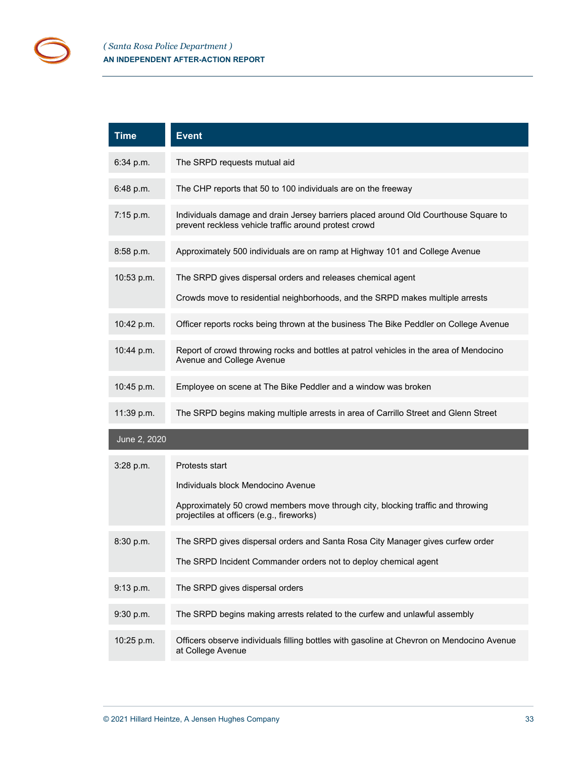| <b>Time</b>  | <b>Event</b>                                                                                                                                      |
|--------------|---------------------------------------------------------------------------------------------------------------------------------------------------|
| 6:34 p.m.    | The SRPD requests mutual aid                                                                                                                      |
| 6:48 p.m.    | The CHP reports that 50 to 100 individuals are on the freeway                                                                                     |
| $7:15$ p.m.  | Individuals damage and drain Jersey barriers placed around Old Courthouse Square to<br>prevent reckless vehicle traffic around protest crowd      |
| 8:58 p.m.    | Approximately 500 individuals are on ramp at Highway 101 and College Avenue                                                                       |
| 10:53 p.m.   | The SRPD gives dispersal orders and releases chemical agent<br>Crowds move to residential neighborhoods, and the SRPD makes multiple arrests      |
| 10:42 p.m.   | Officer reports rocks being thrown at the business The Bike Peddler on College Avenue                                                             |
| 10:44 p.m.   | Report of crowd throwing rocks and bottles at patrol vehicles in the area of Mendocino<br>Avenue and College Avenue                               |
| 10:45 p.m.   | Employee on scene at The Bike Peddler and a window was broken                                                                                     |
| 11:39 p.m.   | The SRPD begins making multiple arrests in area of Carrillo Street and Glenn Street                                                               |
| June 2, 2020 |                                                                                                                                                   |
| $3:28$ p.m.  | Protests start<br>Individuals block Mendocino Avenue                                                                                              |
|              | Approximately 50 crowd members move through city, blocking traffic and throwing<br>projectiles at officers (e.g., fireworks)                      |
| 8:30 p.m.    | The SRPD gives dispersal orders and Santa Rosa City Manager gives curfew order<br>The SRPD Incident Commander orders not to deploy chemical agent |
| 9:13 p.m.    | The SRPD gives dispersal orders                                                                                                                   |
| 9:30 p.m.    | The SRPD begins making arrests related to the curfew and unlawful assembly                                                                        |
| 10:25 p.m.   | Officers observe individuals filling bottles with gasoline at Chevron on Mendocino Avenue<br>at College Avenue                                    |